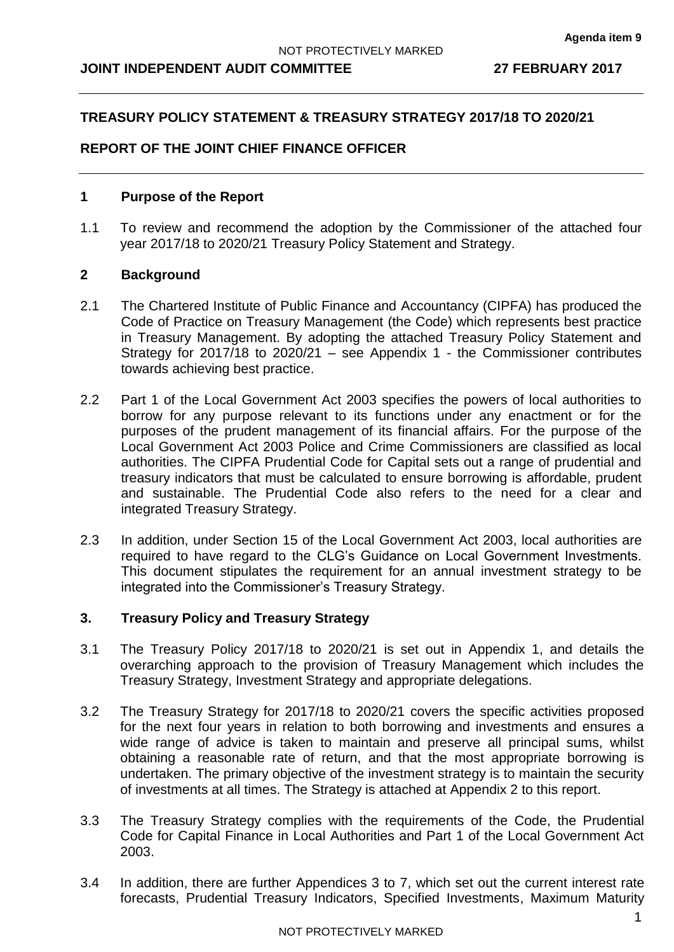### **JOINT INDEPENDENT AUDIT COMMITTEE 27 FEBRUARY 2017**

## **TREASURY POLICY STATEMENT & TREASURY STRATEGY 2017/18 TO 2020/21**

## **REPORT OF THE JOINT CHIEF FINANCE OFFICER**

#### **1 Purpose of the Report**

1.1 To review and recommend the adoption by the Commissioner of the attached four year 2017/18 to 2020/21 Treasury Policy Statement and Strategy.

#### **2 Background**

- 2.1 The Chartered Institute of Public Finance and Accountancy (CIPFA) has produced the Code of Practice on Treasury Management (the Code) which represents best practice in Treasury Management. By adopting the attached Treasury Policy Statement and Strategy for 2017/18 to 2020/21 – see Appendix 1 - the Commissioner contributes towards achieving best practice.
- 2.2 Part 1 of the Local Government Act 2003 specifies the powers of local authorities to borrow for any purpose relevant to its functions under any enactment or for the purposes of the prudent management of its financial affairs. For the purpose of the Local Government Act 2003 Police and Crime Commissioners are classified as local authorities. The CIPFA Prudential Code for Capital sets out a range of prudential and treasury indicators that must be calculated to ensure borrowing is affordable, prudent and sustainable. The Prudential Code also refers to the need for a clear and integrated Treasury Strategy.
- 2.3 In addition, under Section 15 of the Local Government Act 2003, local authorities are required to have regard to the CLG's Guidance on Local Government Investments. This document stipulates the requirement for an annual investment strategy to be integrated into the Commissioner's Treasury Strategy.

#### **3. Treasury Policy and Treasury Strategy**

- 3.1 The Treasury Policy 2017/18 to 2020/21 is set out in Appendix 1, and details the overarching approach to the provision of Treasury Management which includes the Treasury Strategy, Investment Strategy and appropriate delegations.
- 3.2 The Treasury Strategy for 2017/18 to 2020/21 covers the specific activities proposed for the next four years in relation to both borrowing and investments and ensures a wide range of advice is taken to maintain and preserve all principal sums, whilst obtaining a reasonable rate of return, and that the most appropriate borrowing is undertaken. The primary objective of the investment strategy is to maintain the security of investments at all times. The Strategy is attached at Appendix 2 to this report.
- 3.3 The Treasury Strategy complies with the requirements of the Code, the Prudential Code for Capital Finance in Local Authorities and Part 1 of the Local Government Act 2003.
- 3.4 In addition, there are further Appendices 3 to 7, which set out the current interest rate forecasts, Prudential Treasury Indicators, Specified Investments, Maximum Maturity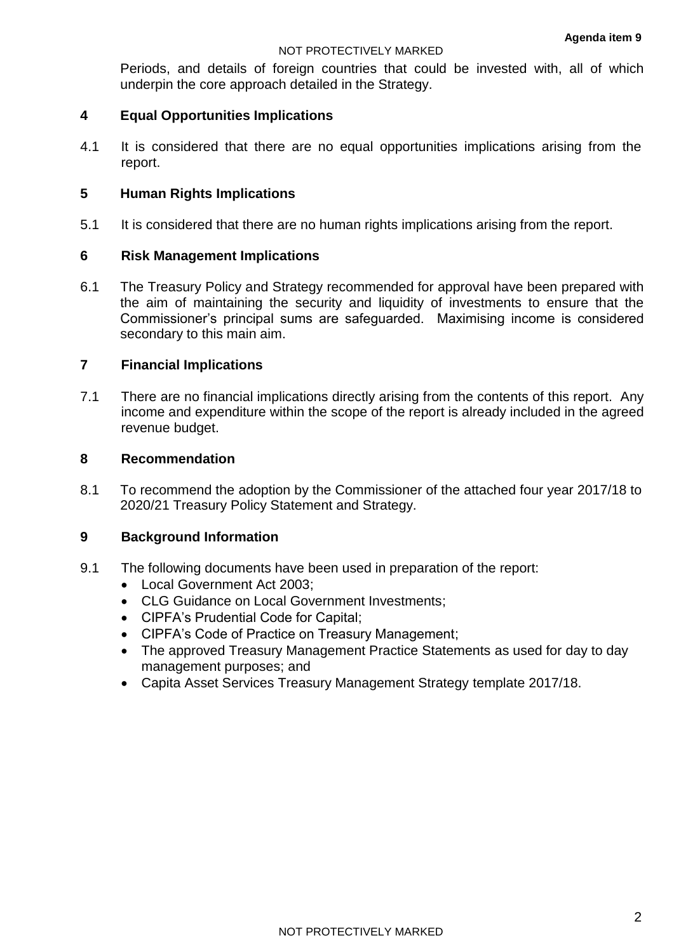#### NOT PROTECTIVELY MARKED

Periods, and details of foreign countries that could be invested with, all of which underpin the core approach detailed in the Strategy.

## **4 Equal Opportunities Implications**

4.1 It is considered that there are no equal opportunities implications arising from the report.

## **5 Human Rights Implications**

5.1 It is considered that there are no human rights implications arising from the report.

## **6 Risk Management Implications**

6.1 The Treasury Policy and Strategy recommended for approval have been prepared with the aim of maintaining the security and liquidity of investments to ensure that the Commissioner's principal sums are safeguarded. Maximising income is considered secondary to this main aim.

## **7 Financial Implications**

7.1 There are no financial implications directly arising from the contents of this report. Any income and expenditure within the scope of the report is already included in the agreed revenue budget.

#### **8 Recommendation**

8.1 To recommend the adoption by the Commissioner of the attached four year 2017/18 to 2020/21 Treasury Policy Statement and Strategy.

#### **9 Background Information**

- 9.1 The following documents have been used in preparation of the report:
	- Local Government Act 2003;
	- CLG Guidance on Local Government Investments;
	- CIPFA's Prudential Code for Capital;
	- CIPFA's Code of Practice on Treasury Management;
	- The approved Treasury Management Practice Statements as used for day to day management purposes; and
	- Capita Asset Services Treasury Management Strategy template 2017/18.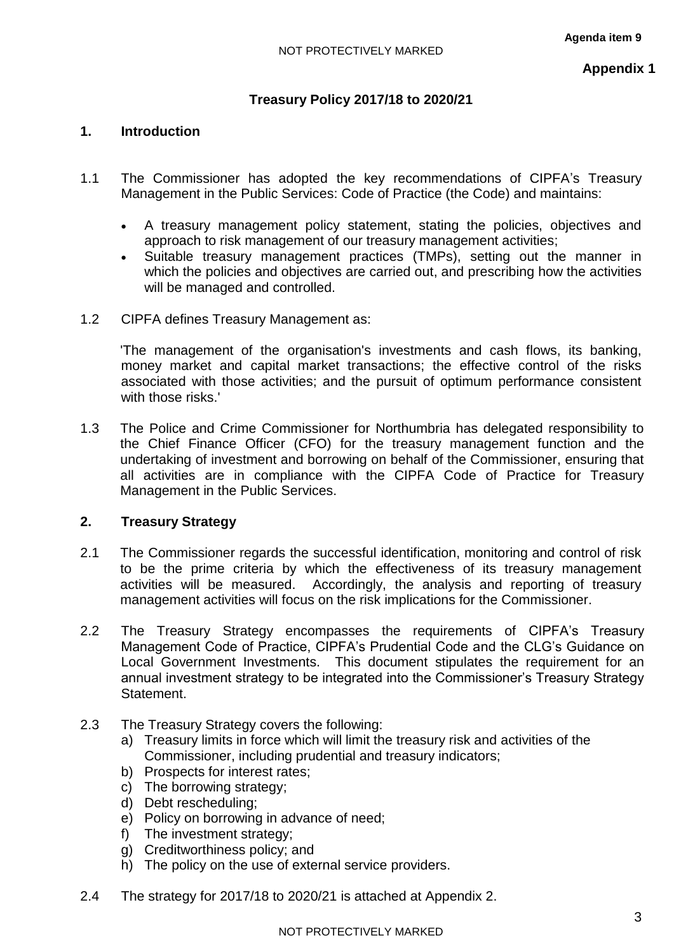## **Treasury Policy 2017/18 to 2020/21**

## **1. Introduction**

- 1.1 The Commissioner has adopted the key recommendations of CIPFA's Treasury Management in the Public Services: Code of Practice (the Code) and maintains:
	- A treasury management policy statement, stating the policies, objectives and approach to risk management of our treasury management activities;
	- Suitable treasury management practices (TMPs), setting out the manner in which the policies and objectives are carried out, and prescribing how the activities will be managed and controlled.
- 1.2 CIPFA defines Treasury Management as:

'The management of the organisation's investments and cash flows, its banking, money market and capital market transactions; the effective control of the risks associated with those activities; and the pursuit of optimum performance consistent with those risks.'

1.3 The Police and Crime Commissioner for Northumbria has delegated responsibility to the Chief Finance Officer (CFO) for the treasury management function and the undertaking of investment and borrowing on behalf of the Commissioner, ensuring that all activities are in compliance with the CIPFA Code of Practice for Treasury Management in the Public Services.

## **2. Treasury Strategy**

- 2.1 The Commissioner regards the successful identification, monitoring and control of risk to be the prime criteria by which the effectiveness of its treasury management activities will be measured. Accordingly, the analysis and reporting of treasury management activities will focus on the risk implications for the Commissioner.
- 2.2 The Treasury Strategy encompasses the requirements of CIPFA's Treasury Management Code of Practice, CIPFA's Prudential Code and the CLG's Guidance on Local Government Investments. This document stipulates the requirement for an annual investment strategy to be integrated into the Commissioner's Treasury Strategy Statement.
- 2.3 The Treasury Strategy covers the following:
	- a) Treasury limits in force which will limit the treasury risk and activities of the Commissioner, including prudential and treasury indicators;
	- b) Prospects for interest rates;
	- c) The borrowing strategy;
	- d) Debt rescheduling;
	- e) Policy on borrowing in advance of need;
	- f) The investment strategy;
	- g) Creditworthiness policy; and
	- h) The policy on the use of external service providers.
- 2.4 The strategy for 2017/18 to 2020/21 is attached at Appendix 2.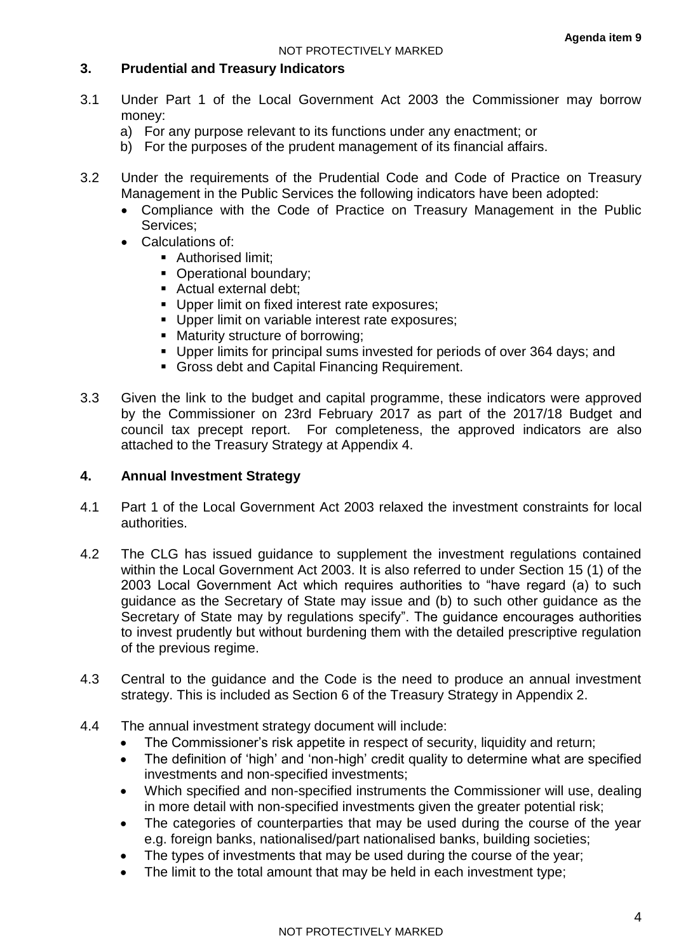## **3. Prudential and Treasury Indicators**

- 3.1 Under Part 1 of the Local Government Act 2003 the Commissioner may borrow money:
	- a) For any purpose relevant to its functions under any enactment; or
	- b) For the purposes of the prudent management of its financial affairs.
- 3.2 Under the requirements of the Prudential Code and Code of Practice on Treasury Management in the Public Services the following indicators have been adopted:
	- Compliance with the Code of Practice on Treasury Management in the Public Services;
	- Calculations of:
		- **Authorised limit;**
		- Operational boundary;
		- Actual external debt:
		- **Upper limit on fixed interest rate exposures;**
		- Upper limit on variable interest rate exposures:
		- Maturity structure of borrowing:
		- Upper limits for principal sums invested for periods of over 364 days; and
		- Gross debt and Capital Financing Requirement.
- 3.3 Given the link to the budget and capital programme, these indicators were approved by the Commissioner on 23rd February 2017 as part of the 2017/18 Budget and council tax precept report. For completeness, the approved indicators are also attached to the Treasury Strategy at Appendix 4.

## **4. Annual Investment Strategy**

- 4.1 Part 1 of the Local Government Act 2003 relaxed the investment constraints for local authorities.
- 4.2 The CLG has issued guidance to supplement the investment regulations contained within the Local Government Act 2003. It is also referred to under Section 15 (1) of the 2003 Local Government Act which requires authorities to "have regard (a) to such guidance as the Secretary of State may issue and (b) to such other guidance as the Secretary of State may by regulations specify". The guidance encourages authorities to invest prudently but without burdening them with the detailed prescriptive regulation of the previous regime.
- 4.3 Central to the guidance and the Code is the need to produce an annual investment strategy. This is included as Section 6 of the Treasury Strategy in Appendix 2.
- 4.4 The annual investment strategy document will include:
	- The Commissioner's risk appetite in respect of security, liquidity and return:
	- The definition of 'high' and 'non-high' credit quality to determine what are specified investments and non-specified investments;
	- Which specified and non-specified instruments the Commissioner will use, dealing in more detail with non-specified investments given the greater potential risk;
	- The categories of counterparties that may be used during the course of the year e.g. foreign banks, nationalised/part nationalised banks, building societies;
	- The types of investments that may be used during the course of the year;
	- The limit to the total amount that may be held in each investment type;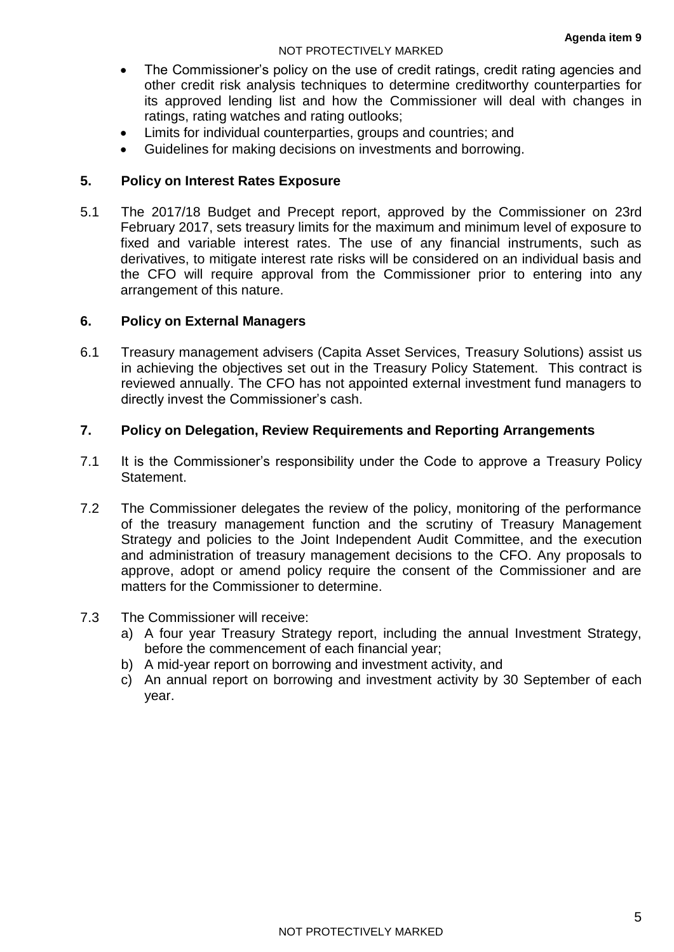#### NOT PROTECTIVELY MARKED

- The Commissioner's policy on the use of credit ratings, credit rating agencies and other credit risk analysis techniques to determine creditworthy counterparties for its approved lending list and how the Commissioner will deal with changes in ratings, rating watches and rating outlooks;
- Limits for individual counterparties, groups and countries; and
- Guidelines for making decisions on investments and borrowing.

## **5. Policy on Interest Rates Exposure**

5.1 The 2017/18 Budget and Precept report, approved by the Commissioner on 23rd February 2017, sets treasury limits for the maximum and minimum level of exposure to fixed and variable interest rates. The use of any financial instruments, such as derivatives, to mitigate interest rate risks will be considered on an individual basis and the CFO will require approval from the Commissioner prior to entering into any arrangement of this nature.

## **6. Policy on External Managers**

6.1 Treasury management advisers (Capita Asset Services, Treasury Solutions) assist us in achieving the objectives set out in the Treasury Policy Statement. This contract is reviewed annually. The CFO has not appointed external investment fund managers to directly invest the Commissioner's cash.

## **7. Policy on Delegation, Review Requirements and Reporting Arrangements**

- 7.1 It is the Commissioner's responsibility under the Code to approve a Treasury Policy **Statement**
- 7.2 The Commissioner delegates the review of the policy, monitoring of the performance of the treasury management function and the scrutiny of Treasury Management Strategy and policies to the Joint Independent Audit Committee, and the execution and administration of treasury management decisions to the CFO. Any proposals to approve, adopt or amend policy require the consent of the Commissioner and are matters for the Commissioner to determine.

## 7.3 The Commissioner will receive:

- a) A four year Treasury Strategy report, including the annual Investment Strategy, before the commencement of each financial year;
- b) A mid-year report on borrowing and investment activity, and
- c) An annual report on borrowing and investment activity by 30 September of each year.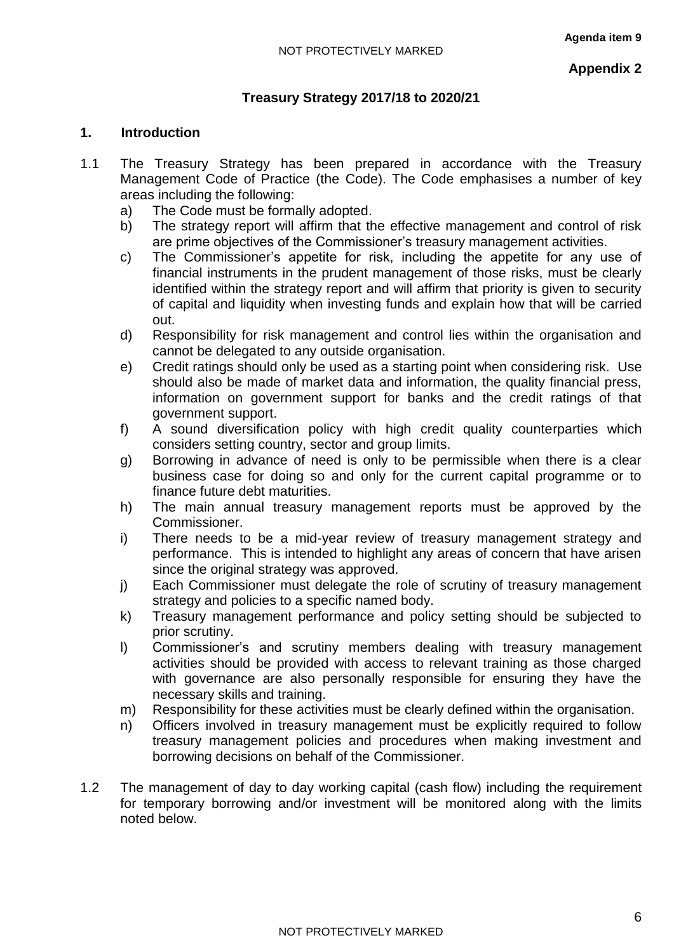## **Treasury Strategy 2017/18 to 2020/21**

## **1. Introduction**

- 1.1 The Treasury Strategy has been prepared in accordance with the Treasury Management Code of Practice (the Code). The Code emphasises a number of key areas including the following:
	- a) The Code must be formally adopted.
	- b) The strategy report will affirm that the effective management and control of risk are prime objectives of the Commissioner's treasury management activities.
	- c) The Commissioner's appetite for risk, including the appetite for any use of financial instruments in the prudent management of those risks, must be clearly identified within the strategy report and will affirm that priority is given to security of capital and liquidity when investing funds and explain how that will be carried out.
	- d) Responsibility for risk management and control lies within the organisation and cannot be delegated to any outside organisation.
	- e) Credit ratings should only be used as a starting point when considering risk. Use should also be made of market data and information, the quality financial press, information on government support for banks and the credit ratings of that government support.
	- f) A sound diversification policy with high credit quality counterparties which considers setting country, sector and group limits.
	- g) Borrowing in advance of need is only to be permissible when there is a clear business case for doing so and only for the current capital programme or to finance future debt maturities.
	- h) The main annual treasury management reports must be approved by the Commissioner.
	- i) There needs to be a mid-year review of treasury management strategy and performance. This is intended to highlight any areas of concern that have arisen since the original strategy was approved.
	- j) Each Commissioner must delegate the role of scrutiny of treasury management strategy and policies to a specific named body.
	- k) Treasury management performance and policy setting should be subjected to prior scrutiny.
	- l) Commissioner's and scrutiny members dealing with treasury management activities should be provided with access to relevant training as those charged with governance are also personally responsible for ensuring they have the necessary skills and training.
	- m) Responsibility for these activities must be clearly defined within the organisation.
	- n) Officers involved in treasury management must be explicitly required to follow treasury management policies and procedures when making investment and borrowing decisions on behalf of the Commissioner.
- 1.2 The management of day to day working capital (cash flow) including the requirement for temporary borrowing and/or investment will be monitored along with the limits noted below.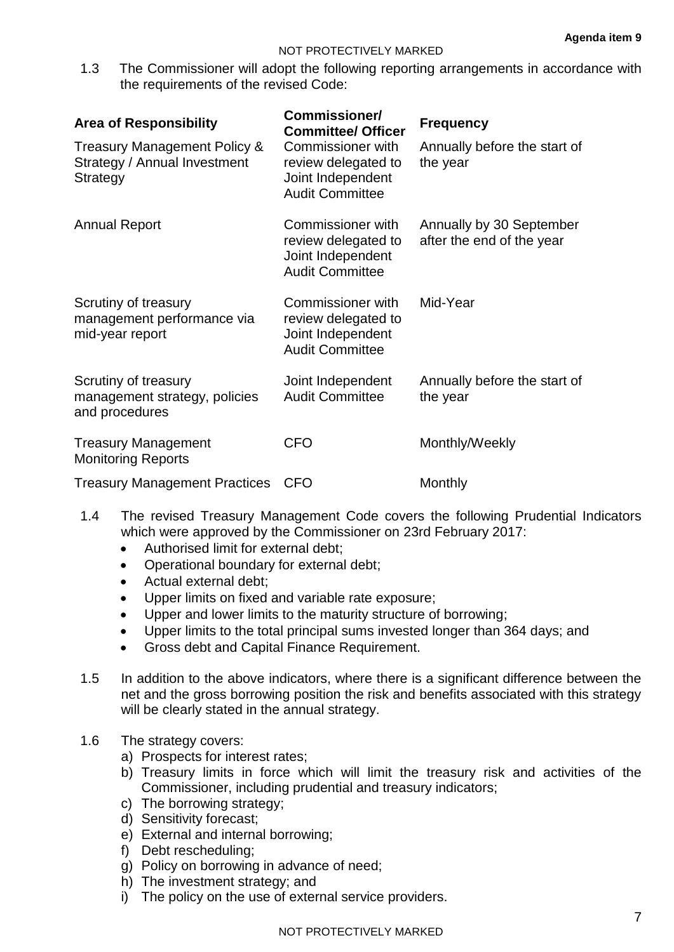1.3 The Commissioner will adopt the following reporting arrangements in accordance with the requirements of the revised Code:

| <b>Area of Responsibility</b>                                                                                                                                       | Commissioner/<br><b>Committee/ Officer</b>                                              | <b>Frequency</b>                                      |
|---------------------------------------------------------------------------------------------------------------------------------------------------------------------|-----------------------------------------------------------------------------------------|-------------------------------------------------------|
| Treasury Management Policy &<br>Commissioner with<br>Strategy / Annual Investment<br>review delegated to<br>Joint Independent<br>Strategy<br><b>Audit Committee</b> |                                                                                         | Annually before the start of<br>the year              |
| <b>Annual Report</b>                                                                                                                                                | Commissioner with<br>review delegated to<br>Joint Independent<br><b>Audit Committee</b> | Annually by 30 September<br>after the end of the year |
| Scrutiny of treasury<br>management performance via<br>mid-year report                                                                                               | Commissioner with<br>review delegated to<br>Joint Independent<br><b>Audit Committee</b> | Mid-Year                                              |
| Scrutiny of treasury<br>management strategy, policies<br>and procedures                                                                                             | Joint Independent<br><b>Audit Committee</b>                                             | Annually before the start of<br>the year              |
| <b>Treasury Management</b><br><b>Monitoring Reports</b>                                                                                                             | <b>CFO</b>                                                                              | Monthly/Weekly                                        |
| <b>Treasury Management Practices</b>                                                                                                                                | <b>CFO</b>                                                                              | Monthly                                               |

- 1.4 The revised Treasury Management Code covers the following Prudential Indicators which were approved by the Commissioner on 23rd February 2017:
	- Authorised limit for external debt:
	- Operational boundary for external debt;
	- Actual external debt:
	- Upper limits on fixed and variable rate exposure;
	- Upper and lower limits to the maturity structure of borrowing;
	- Upper limits to the total principal sums invested longer than 364 days; and
	- Gross debt and Capital Finance Requirement.
- 1.5 In addition to the above indicators, where there is a significant difference between the net and the gross borrowing position the risk and benefits associated with this strategy will be clearly stated in the annual strategy.

#### 1.6 The strategy covers:

- a) Prospects for interest rates;
- b) Treasury limits in force which will limit the treasury risk and activities of the Commissioner, including prudential and treasury indicators;
- c) The borrowing strategy;
- d) Sensitivity forecast;
- e) External and internal borrowing;
- f) Debt rescheduling;
- g) Policy on borrowing in advance of need;
- h) The investment strategy; and
- i) The policy on the use of external service providers.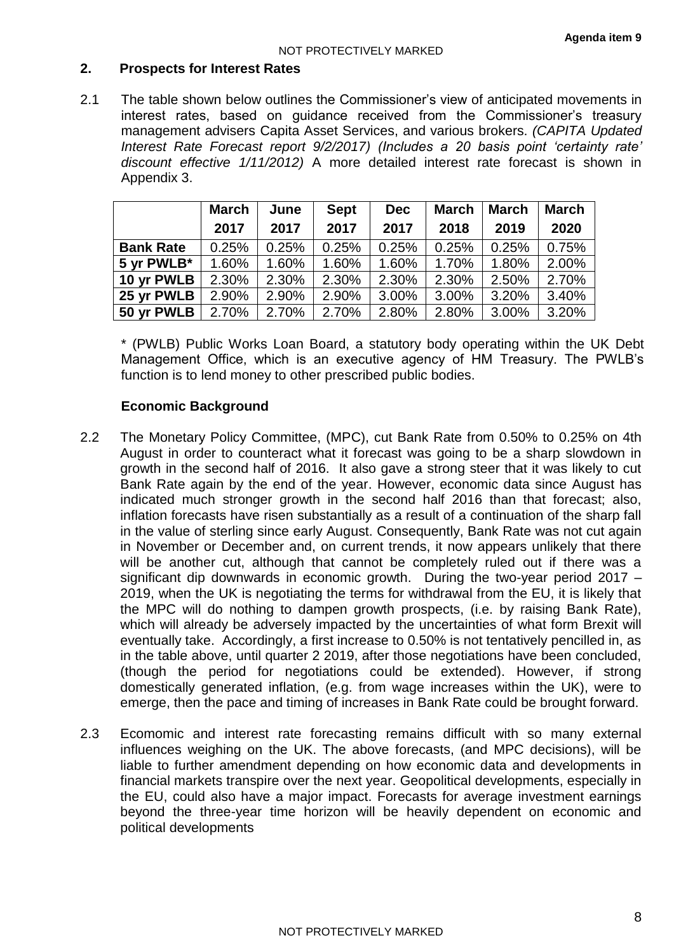## **2. Prospects for Interest Rates**

2.1 The table shown below outlines the Commissioner's view of anticipated movements in interest rates, based on guidance received from the Commissioner's treasury management advisers Capita Asset Services, and various brokers. *(CAPITA Updated Interest Rate Forecast report 9/2/2017) (Includes a 20 basis point 'certainty rate' discount effective 1/11/2012)* A more detailed interest rate forecast is shown in Appendix 3.

|                  | <b>March</b> | June  | <b>Sept</b> | <b>Dec</b> | <b>March</b> | <b>March</b> | <b>March</b> |
|------------------|--------------|-------|-------------|------------|--------------|--------------|--------------|
|                  | 2017         | 2017  | 2017        | 2017       | 2018         | 2019         | 2020         |
| <b>Bank Rate</b> | 0.25%        | 0.25% | 0.25%       | 0.25%      | 0.25%        | 0.25%        | 0.75%        |
| 5 yr PWLB*       | 1.60%        | 1.60% | 1.60%       | 1.60%      | 1.70%        | 1.80%        | 2.00%        |
| 10 yr PWLB       | 2.30%        | 2.30% | 2.30%       | 2.30%      | 2.30%        | 2.50%        | 2.70%        |
| 25 yr PWLB       | 2.90%        | 2.90% | 2.90%       | 3.00%      | 3.00%        | 3.20%        | 3.40%        |
| 50 yr PWLB       | 2.70%        | 2.70% | 2.70%       | 2.80%      | 2.80%        | 3.00%        | 3.20%        |

\* (PWLB) Public Works Loan Board, a statutory body operating within the UK Debt Management Office, which is an executive agency of HM Treasury. The PWLB's function is to lend money to other prescribed public bodies.

#### **Economic Background**

- 2.2 The Monetary Policy Committee, (MPC), cut Bank Rate from 0.50% to 0.25% on 4th August in order to counteract what it forecast was going to be a sharp slowdown in growth in the second half of 2016. It also gave a strong steer that it was likely to cut Bank Rate again by the end of the year. However, economic data since August has indicated much stronger growth in the second half 2016 than that forecast; also, inflation forecasts have risen substantially as a result of a continuation of the sharp fall in the value of sterling since early August. Consequently, Bank Rate was not cut again in November or December and, on current trends, it now appears unlikely that there will be another cut, although that cannot be completely ruled out if there was a significant dip downwards in economic growth. During the two-year period 2017 – 2019, when the UK is negotiating the terms for withdrawal from the EU, it is likely that the MPC will do nothing to dampen growth prospects, (i.e. by raising Bank Rate), which will already be adversely impacted by the uncertainties of what form Brexit will eventually take. Accordingly, a first increase to 0.50% is not tentatively pencilled in, as in the table above, until quarter 2 2019, after those negotiations have been concluded, (though the period for negotiations could be extended). However, if strong domestically generated inflation, (e.g. from wage increases within the UK), were to emerge, then the pace and timing of increases in Bank Rate could be brought forward.
- 2.3 Ecomomic and interest rate forecasting remains difficult with so many external influences weighing on the UK. The above forecasts, (and MPC decisions), will be liable to further amendment depending on how economic data and developments in financial markets transpire over the next year. Geopolitical developments, especially in the EU, could also have a major impact. Forecasts for average investment earnings beyond the three-year time horizon will be heavily dependent on economic and political developments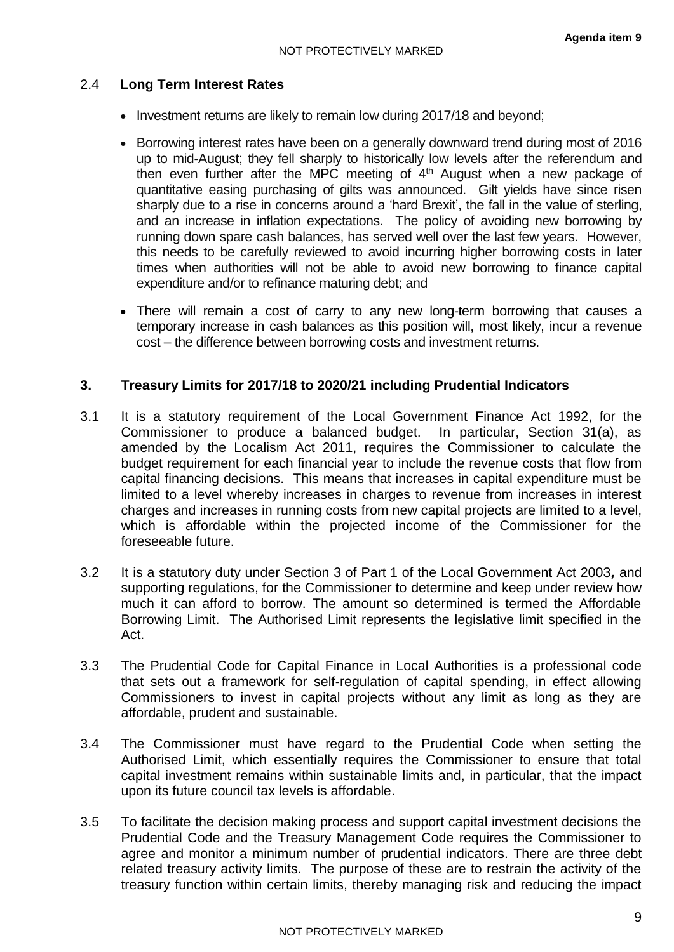## 2.4 **Long Term Interest Rates**

- Investment returns are likely to remain low during 2017/18 and beyond;
- Borrowing interest rates have been on a generally downward trend during most of 2016 up to mid-August; they fell sharply to historically low levels after the referendum and then even further after the MPC meeting of  $4<sup>th</sup>$  August when a new package of quantitative easing purchasing of gilts was announced. Gilt yields have since risen sharply due to a rise in concerns around a 'hard Brexit', the fall in the value of sterling, and an increase in inflation expectations. The policy of avoiding new borrowing by running down spare cash balances, has served well over the last few years. However, this needs to be carefully reviewed to avoid incurring higher borrowing costs in later times when authorities will not be able to avoid new borrowing to finance capital expenditure and/or to refinance maturing debt; and
- There will remain a cost of carry to any new long-term borrowing that causes a temporary increase in cash balances as this position will, most likely, incur a revenue cost – the difference between borrowing costs and investment returns.

## **3. Treasury Limits for 2017/18 to 2020/21 including Prudential Indicators**

- 3.1 It is a statutory requirement of the Local Government Finance Act 1992, for the Commissioner to produce a balanced budget. In particular, Section 31(a), as amended by the Localism Act 2011, requires the Commissioner to calculate the budget requirement for each financial year to include the revenue costs that flow from capital financing decisions. This means that increases in capital expenditure must be limited to a level whereby increases in charges to revenue from increases in interest charges and increases in running costs from new capital projects are limited to a level, which is affordable within the projected income of the Commissioner for the foreseeable future.
- 3.2 It is a statutory duty under Section 3 of Part 1 of the Local Government Act 2003*,* and supporting regulations, for the Commissioner to determine and keep under review how much it can afford to borrow. The amount so determined is termed the Affordable Borrowing Limit. The Authorised Limit represents the legislative limit specified in the Act.
- 3.3 The Prudential Code for Capital Finance in Local Authorities is a professional code that sets out a framework for self-regulation of capital spending, in effect allowing Commissioners to invest in capital projects without any limit as long as they are affordable, prudent and sustainable.
- 3.4 The Commissioner must have regard to the Prudential Code when setting the Authorised Limit, which essentially requires the Commissioner to ensure that total capital investment remains within sustainable limits and, in particular, that the impact upon its future council tax levels is affordable.
- 3.5 To facilitate the decision making process and support capital investment decisions the Prudential Code and the Treasury Management Code requires the Commissioner to agree and monitor a minimum number of prudential indicators. There are three debt related treasury activity limits. The purpose of these are to restrain the activity of the treasury function within certain limits, thereby managing risk and reducing the impact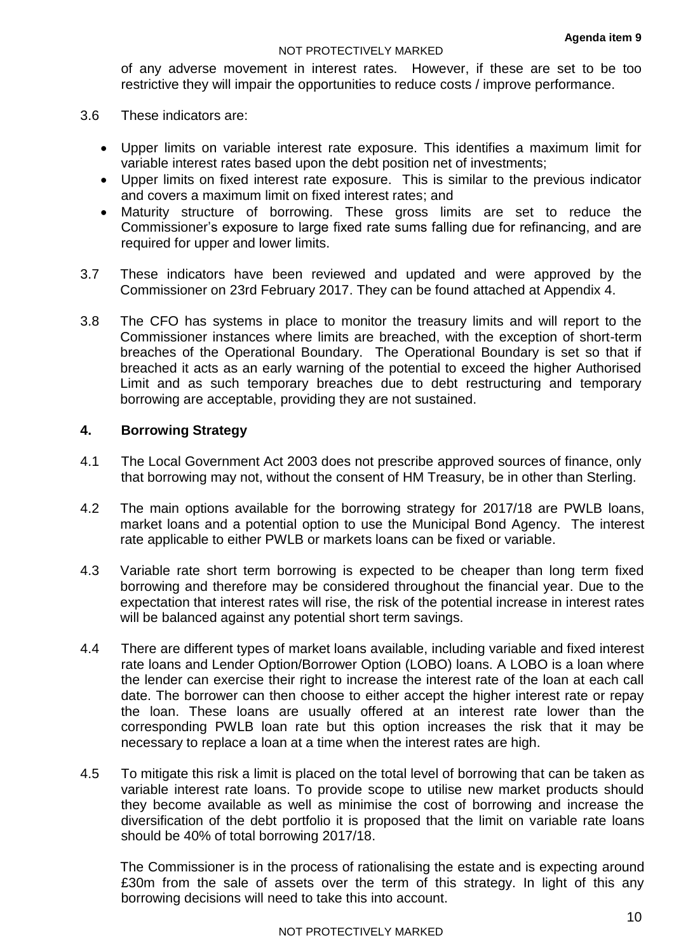of any adverse movement in interest rates. However, if these are set to be too restrictive they will impair the opportunities to reduce costs / improve performance.

- 3.6 These indicators are:
	- Upper limits on variable interest rate exposure. This identifies a maximum limit for variable interest rates based upon the debt position net of investments;
	- Upper limits on fixed interest rate exposure. This is similar to the previous indicator and covers a maximum limit on fixed interest rates; and
	- Maturity structure of borrowing. These gross limits are set to reduce the Commissioner's exposure to large fixed rate sums falling due for refinancing, and are required for upper and lower limits.
- 3.7 These indicators have been reviewed and updated and were approved by the Commissioner on 23rd February 2017. They can be found attached at Appendix 4.
- 3.8 The CFO has systems in place to monitor the treasury limits and will report to the Commissioner instances where limits are breached, with the exception of short-term breaches of the Operational Boundary. The Operational Boundary is set so that if breached it acts as an early warning of the potential to exceed the higher Authorised Limit and as such temporary breaches due to debt restructuring and temporary borrowing are acceptable, providing they are not sustained.

#### **4. Borrowing Strategy**

- 4.1 The Local Government Act 2003 does not prescribe approved sources of finance, only that borrowing may not, without the consent of HM Treasury, be in other than Sterling.
- 4.2 The main options available for the borrowing strategy for 2017/18 are PWLB loans, market loans and a potential option to use the Municipal Bond Agency. The interest rate applicable to either PWLB or markets loans can be fixed or variable.
- 4.3 Variable rate short term borrowing is expected to be cheaper than long term fixed borrowing and therefore may be considered throughout the financial year. Due to the expectation that interest rates will rise, the risk of the potential increase in interest rates will be balanced against any potential short term savings.
- 4.4 There are different types of market loans available, including variable and fixed interest rate loans and Lender Option/Borrower Option (LOBO) loans. A LOBO is a loan where the lender can exercise their right to increase the interest rate of the loan at each call date. The borrower can then choose to either accept the higher interest rate or repay the loan. These loans are usually offered at an interest rate lower than the corresponding PWLB loan rate but this option increases the risk that it may be necessary to replace a loan at a time when the interest rates are high.
- 4.5 To mitigate this risk a limit is placed on the total level of borrowing that can be taken as variable interest rate loans. To provide scope to utilise new market products should they become available as well as minimise the cost of borrowing and increase the diversification of the debt portfolio it is proposed that the limit on variable rate loans should be 40% of total borrowing 2017/18.

The Commissioner is in the process of rationalising the estate and is expecting around £30m from the sale of assets over the term of this strategy. In light of this any borrowing decisions will need to take this into account.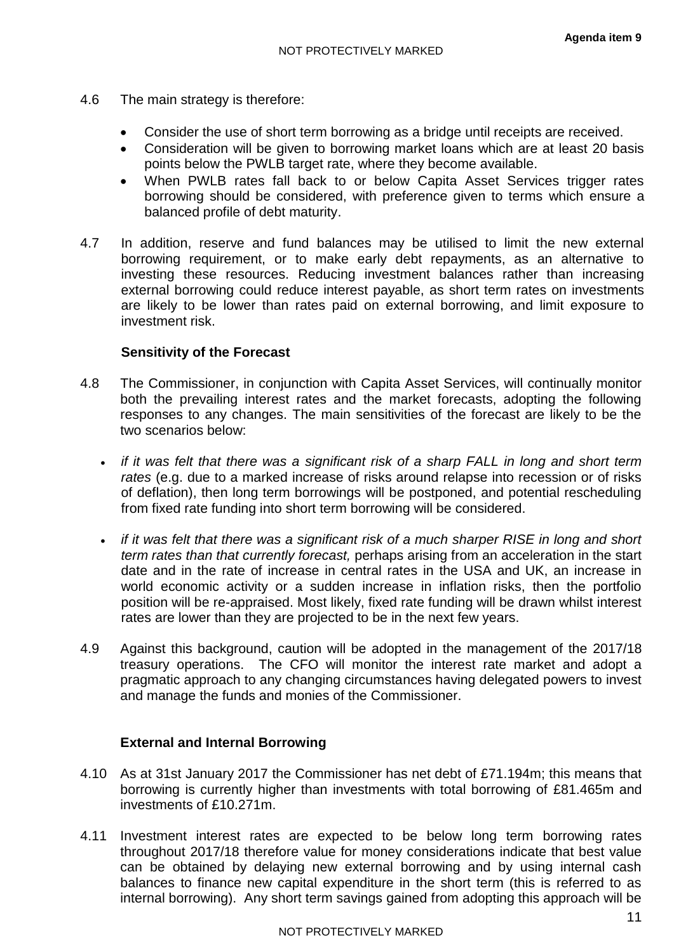- 4.6 The main strategy is therefore:
	- Consider the use of short term borrowing as a bridge until receipts are received.
	- Consideration will be given to borrowing market loans which are at least 20 basis points below the PWLB target rate, where they become available.
	- When PWLB rates fall back to or below Capita Asset Services trigger rates borrowing should be considered, with preference given to terms which ensure a balanced profile of debt maturity.
- 4.7 In addition, reserve and fund balances may be utilised to limit the new external borrowing requirement, or to make early debt repayments, as an alternative to investing these resources. Reducing investment balances rather than increasing external borrowing could reduce interest payable, as short term rates on investments are likely to be lower than rates paid on external borrowing, and limit exposure to investment risk.

## **Sensitivity of the Forecast**

- 4.8 The Commissioner, in conjunction with Capita Asset Services, will continually monitor both the prevailing interest rates and the market forecasts, adopting the following responses to any changes. The main sensitivities of the forecast are likely to be the two scenarios below:
	- *if it was felt that there was a significant risk of a sharp FALL in long and short term rates* (e.g. due to a marked increase of risks around relapse into recession or of risks of deflation), then long term borrowings will be postponed, and potential rescheduling from fixed rate funding into short term borrowing will be considered.
	- *if it was felt that there was a significant risk of a much sharper RISE in long and short term rates than that currently forecast,* perhaps arising from an acceleration in the start date and in the rate of increase in central rates in the USA and UK, an increase in world economic activity or a sudden increase in inflation risks, then the portfolio position will be re-appraised. Most likely, fixed rate funding will be drawn whilst interest rates are lower than they are projected to be in the next few years.
- 4.9 Against this background, caution will be adopted in the management of the 2017/18 treasury operations. The CFO will monitor the interest rate market and adopt a pragmatic approach to any changing circumstances having delegated powers to invest and manage the funds and monies of the Commissioner.

#### **External and Internal Borrowing**

- 4.10 As at 31st January 2017 the Commissioner has net debt of £71.194m; this means that borrowing is currently higher than investments with total borrowing of £81.465m and investments of £10.271m.
- 4.11 Investment interest rates are expected to be below long term borrowing rates throughout 2017/18 therefore value for money considerations indicate that best value can be obtained by delaying new external borrowing and by using internal cash balances to finance new capital expenditure in the short term (this is referred to as internal borrowing). Any short term savings gained from adopting this approach will be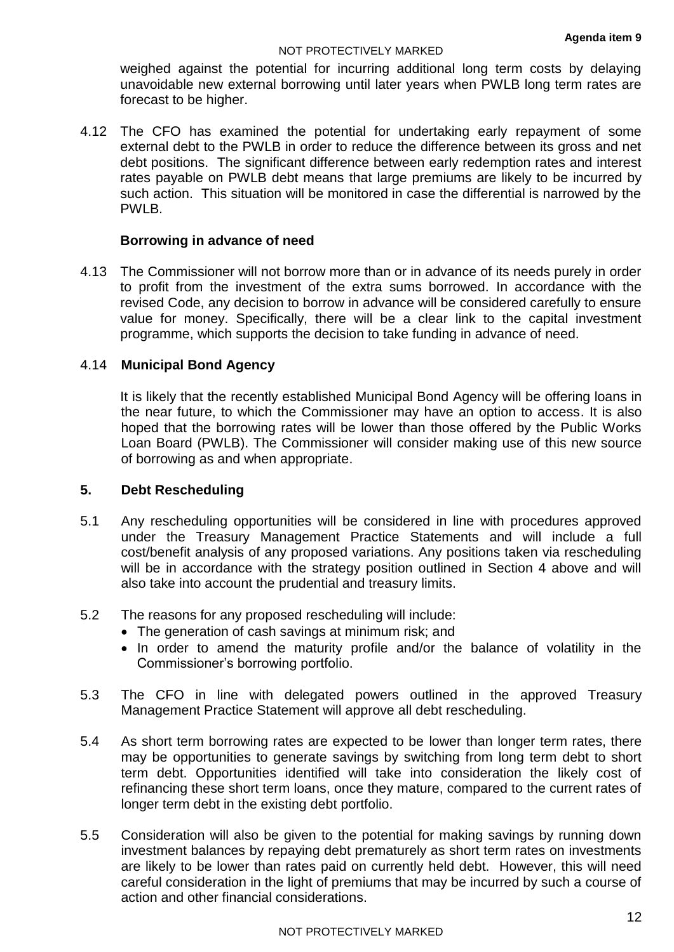#### NOT PROTECTIVELY MARKED

weighed against the potential for incurring additional long term costs by delaying unavoidable new external borrowing until later years when PWLB long term rates are forecast to be higher.

4.12 The CFO has examined the potential for undertaking early repayment of some external debt to the PWLB in order to reduce the difference between its gross and net debt positions. The significant difference between early redemption rates and interest rates payable on PWLB debt means that large premiums are likely to be incurred by such action. This situation will be monitored in case the differential is narrowed by the PWLB.

#### **Borrowing in advance of need**

4.13 The Commissioner will not borrow more than or in advance of its needs purely in order to profit from the investment of the extra sums borrowed. In accordance with the revised Code, any decision to borrow in advance will be considered carefully to ensure value for money. Specifically, there will be a clear link to the capital investment programme, which supports the decision to take funding in advance of need.

## 4.14 **Municipal Bond Agency**

It is likely that the recently established Municipal Bond Agency will be offering loans in the near future, to which the Commissioner may have an option to access. It is also hoped that the borrowing rates will be lower than those offered by the Public Works Loan Board (PWLB). The Commissioner will consider making use of this new source of borrowing as and when appropriate.

## **5. Debt Rescheduling**

- 5.1 Any rescheduling opportunities will be considered in line with procedures approved under the Treasury Management Practice Statements and will include a full cost/benefit analysis of any proposed variations. Any positions taken via rescheduling will be in accordance with the strategy position outlined in Section 4 above and will also take into account the prudential and treasury limits.
- 5.2 The reasons for any proposed rescheduling will include:
	- The generation of cash savings at minimum risk; and
	- In order to amend the maturity profile and/or the balance of volatility in the Commissioner's borrowing portfolio.
- 5.3 The CFO in line with delegated powers outlined in the approved Treasury Management Practice Statement will approve all debt rescheduling.
- 5.4 As short term borrowing rates are expected to be lower than longer term rates, there may be opportunities to generate savings by switching from long term debt to short term debt. Opportunities identified will take into consideration the likely cost of refinancing these short term loans, once they mature, compared to the current rates of longer term debt in the existing debt portfolio.
- 5.5 Consideration will also be given to the potential for making savings by running down investment balances by repaying debt prematurely as short term rates on investments are likely to be lower than rates paid on currently held debt. However, this will need careful consideration in the light of premiums that may be incurred by such a course of action and other financial considerations.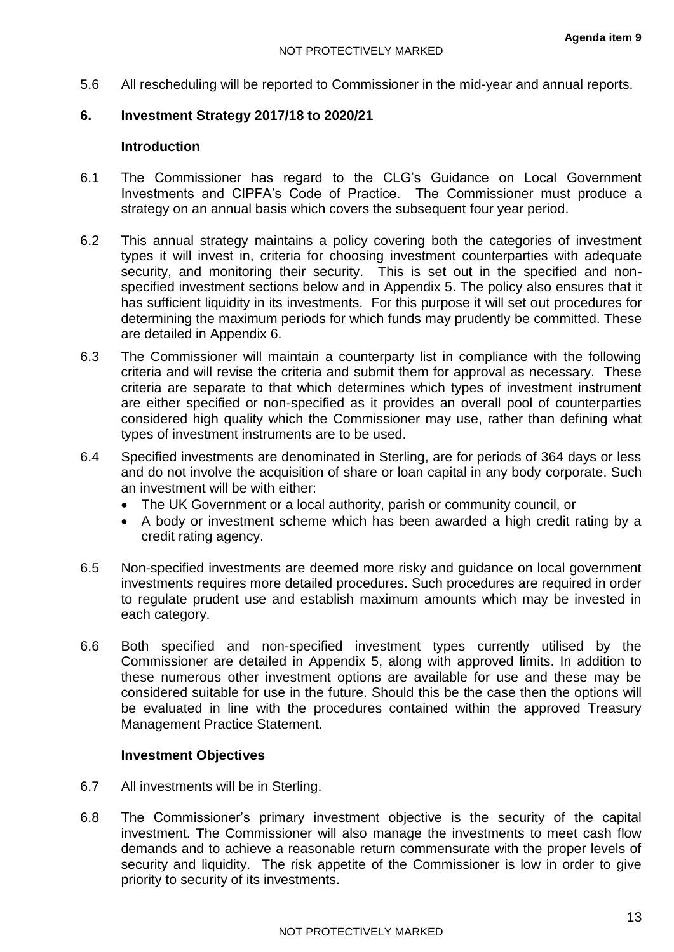5.6 All rescheduling will be reported to Commissioner in the mid-year and annual reports.

## **6. Investment Strategy 2017/18 to 2020/21**

## **Introduction**

- 6.1 The Commissioner has regard to the CLG's Guidance on Local Government Investments and CIPFA's Code of Practice. The Commissioner must produce a strategy on an annual basis which covers the subsequent four year period.
- 6.2 This annual strategy maintains a policy covering both the categories of investment types it will invest in, criteria for choosing investment counterparties with adequate security, and monitoring their security. This is set out in the specified and nonspecified investment sections below and in Appendix 5. The policy also ensures that it has sufficient liquidity in its investments. For this purpose it will set out procedures for determining the maximum periods for which funds may prudently be committed. These are detailed in Appendix 6.
- 6.3 The Commissioner will maintain a counterparty list in compliance with the following criteria and will revise the criteria and submit them for approval as necessary. These criteria are separate to that which determines which types of investment instrument are either specified or non-specified as it provides an overall pool of counterparties considered high quality which the Commissioner may use, rather than defining what types of investment instruments are to be used.
- 6.4 Specified investments are denominated in Sterling, are for periods of 364 days or less and do not involve the acquisition of share or loan capital in any body corporate. Such an investment will be with either:
	- The UK Government or a local authority, parish or community council, or
	- A body or investment scheme which has been awarded a high credit rating by a credit rating agency.
- 6.5 Non-specified investments are deemed more risky and guidance on local government investments requires more detailed procedures. Such procedures are required in order to regulate prudent use and establish maximum amounts which may be invested in each category.
- 6.6 Both specified and non-specified investment types currently utilised by the Commissioner are detailed in Appendix 5, along with approved limits. In addition to these numerous other investment options are available for use and these may be considered suitable for use in the future. Should this be the case then the options will be evaluated in line with the procedures contained within the approved Treasury Management Practice Statement.

#### **Investment Objectives**

- 6.7 All investments will be in Sterling.
- 6.8 The Commissioner's primary investment objective is the security of the capital investment. The Commissioner will also manage the investments to meet cash flow demands and to achieve a reasonable return commensurate with the proper levels of security and liquidity. The risk appetite of the Commissioner is low in order to give priority to security of its investments.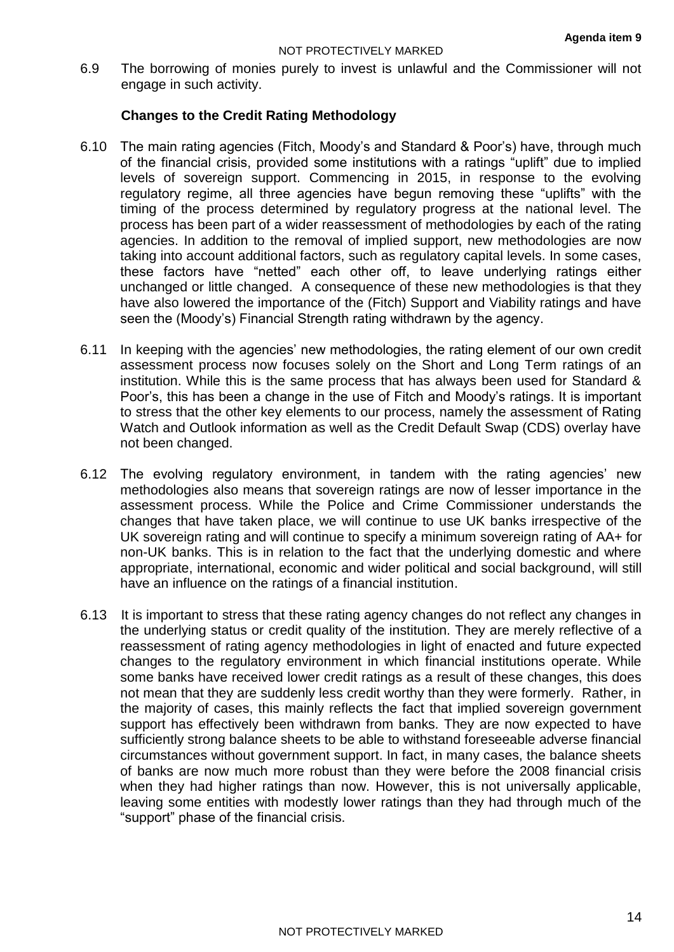6.9 The borrowing of monies purely to invest is unlawful and the Commissioner will not engage in such activity.

## **Changes to the Credit Rating Methodology**

- 6.10 The main rating agencies (Fitch, Moody's and Standard & Poor's) have, through much of the financial crisis, provided some institutions with a ratings "uplift" due to implied levels of sovereign support. Commencing in 2015, in response to the evolving regulatory regime, all three agencies have begun removing these "uplifts" with the timing of the process determined by regulatory progress at the national level. The process has been part of a wider reassessment of methodologies by each of the rating agencies. In addition to the removal of implied support, new methodologies are now taking into account additional factors, such as regulatory capital levels. In some cases, these factors have "netted" each other off, to leave underlying ratings either unchanged or little changed. A consequence of these new methodologies is that they have also lowered the importance of the (Fitch) Support and Viability ratings and have seen the (Moody's) Financial Strength rating withdrawn by the agency.
- 6.11 In keeping with the agencies' new methodologies, the rating element of our own credit assessment process now focuses solely on the Short and Long Term ratings of an institution. While this is the same process that has always been used for Standard & Poor's, this has been a change in the use of Fitch and Moody's ratings. It is important to stress that the other key elements to our process, namely the assessment of Rating Watch and Outlook information as well as the Credit Default Swap (CDS) overlay have not been changed.
- 6.12 The evolving regulatory environment, in tandem with the rating agencies' new methodologies also means that sovereign ratings are now of lesser importance in the assessment process. While the Police and Crime Commissioner understands the changes that have taken place, we will continue to use UK banks irrespective of the UK sovereign rating and will continue to specify a minimum sovereign rating of AA+ for non-UK banks. This is in relation to the fact that the underlying domestic and where appropriate, international, economic and wider political and social background, will still have an influence on the ratings of a financial institution.
- 6.13 It is important to stress that these rating agency changes do not reflect any changes in the underlying status or credit quality of the institution. They are merely reflective of a reassessment of rating agency methodologies in light of enacted and future expected changes to the regulatory environment in which financial institutions operate. While some banks have received lower credit ratings as a result of these changes, this does not mean that they are suddenly less credit worthy than they were formerly. Rather, in the majority of cases, this mainly reflects the fact that implied sovereign government support has effectively been withdrawn from banks. They are now expected to have sufficiently strong balance sheets to be able to withstand foreseeable adverse financial circumstances without government support. In fact, in many cases, the balance sheets of banks are now much more robust than they were before the 2008 financial crisis when they had higher ratings than now. However, this is not universally applicable. leaving some entities with modestly lower ratings than they had through much of the "support" phase of the financial crisis.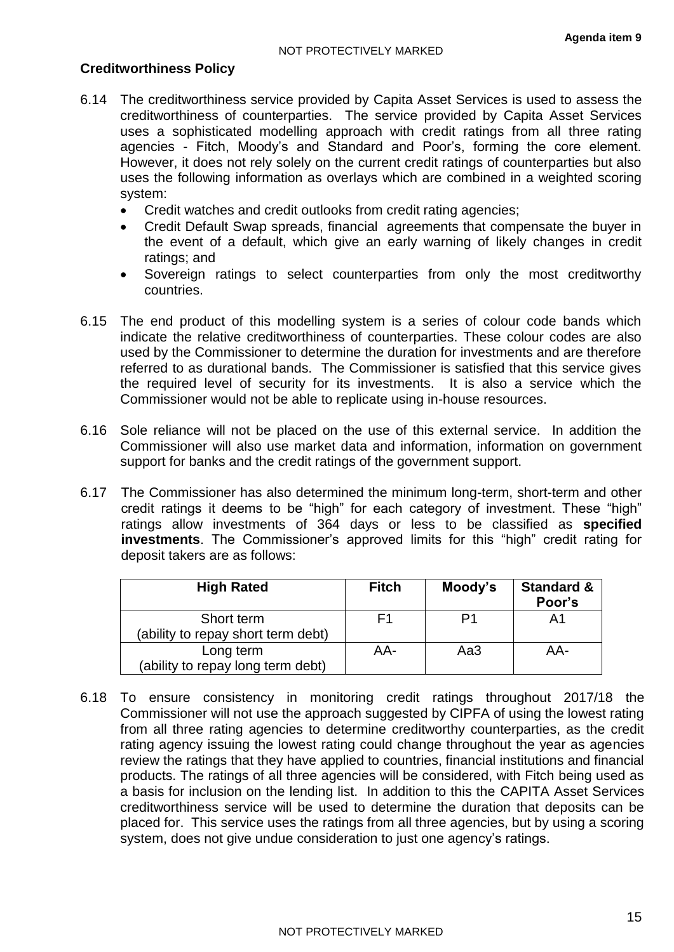## **Creditworthiness Policy**

- 6.14 The creditworthiness service provided by Capita Asset Services is used to assess the creditworthiness of counterparties. The service provided by Capita Asset Services uses a sophisticated modelling approach with credit ratings from all three rating agencies - Fitch, Moody's and Standard and Poor's, forming the core element. However, it does not rely solely on the current credit ratings of counterparties but also uses the following information as overlays which are combined in a weighted scoring system:
	- Credit watches and credit outlooks from credit rating agencies;
	- Credit Default Swap spreads, financial agreements that compensate the buyer in the event of a default, which give an early warning of likely changes in credit ratings; and
	- Sovereign ratings to select counterparties from only the most creditworthy countries.
- 6.15 The end product of this modelling system is a series of colour code bands which indicate the relative creditworthiness of counterparties. These colour codes are also used by the Commissioner to determine the duration for investments and are therefore referred to as durational bands. The Commissioner is satisfied that this service gives the required level of security for its investments. It is also a service which the Commissioner would not be able to replicate using in-house resources.
- 6.16 Sole reliance will not be placed on the use of this external service. In addition the Commissioner will also use market data and information, information on government support for banks and the credit ratings of the government support.
- 6.17 The Commissioner has also determined the minimum long-term, short-term and other credit ratings it deems to be "high" for each category of investment. These "high" ratings allow investments of 364 days or less to be classified as **specified investments**. The Commissioner's approved limits for this "high" credit rating for deposit takers are as follows:

| <b>High Rated</b>                                | <b>Fitch</b> | Moody's | <b>Standard &amp;</b><br>Poor's |
|--------------------------------------------------|--------------|---------|---------------------------------|
| Short term<br>(ability to repay short term debt) | F1           | P1      | A <sub>1</sub>                  |
| Long term<br>(ability to repay long term debt)   | AA-          | Aa3     | AA-                             |

6.18 To ensure consistency in monitoring credit ratings throughout 2017/18 the Commissioner will not use the approach suggested by CIPFA of using the lowest rating from all three rating agencies to determine creditworthy counterparties, as the credit rating agency issuing the lowest rating could change throughout the year as agencies review the ratings that they have applied to countries, financial institutions and financial products. The ratings of all three agencies will be considered, with Fitch being used as a basis for inclusion on the lending list. In addition to this the CAPITA Asset Services creditworthiness service will be used to determine the duration that deposits can be placed for. This service uses the ratings from all three agencies, but by using a scoring system, does not give undue consideration to just one agency's ratings.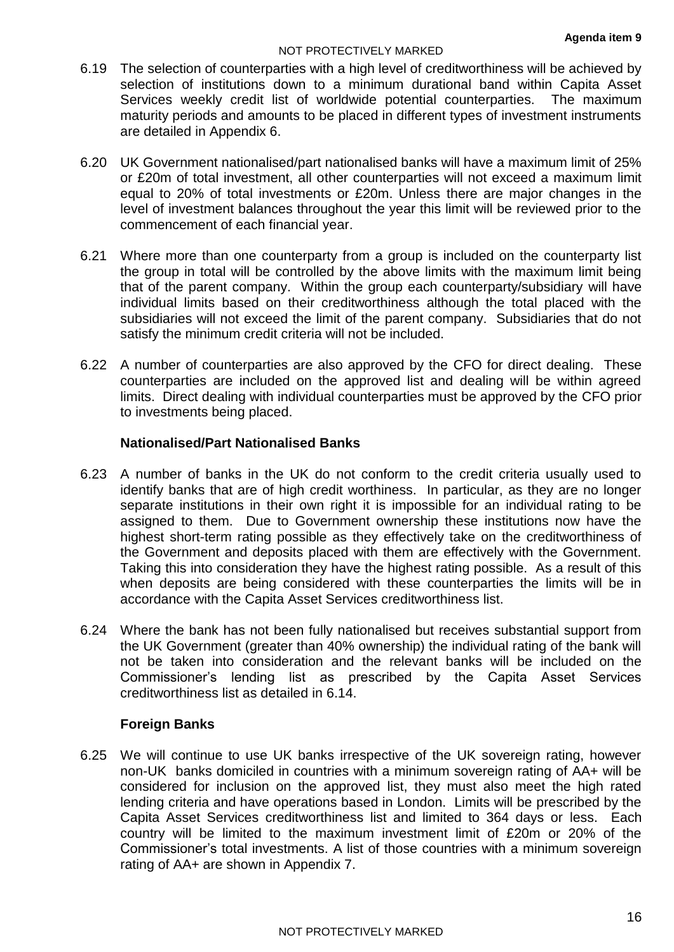#### NOT PROTECTIVELY MARKED

- 6.19 The selection of counterparties with a high level of creditworthiness will be achieved by selection of institutions down to a minimum durational band within Capita Asset Services weekly credit list of worldwide potential counterparties. The maximum maturity periods and amounts to be placed in different types of investment instruments are detailed in Appendix 6.
- 6.20 UK Government nationalised/part nationalised banks will have a maximum limit of 25% or £20m of total investment, all other counterparties will not exceed a maximum limit equal to 20% of total investments or £20m. Unless there are major changes in the level of investment balances throughout the year this limit will be reviewed prior to the commencement of each financial year.
- 6.21 Where more than one counterparty from a group is included on the counterparty list the group in total will be controlled by the above limits with the maximum limit being that of the parent company. Within the group each counterparty/subsidiary will have individual limits based on their creditworthiness although the total placed with the subsidiaries will not exceed the limit of the parent company. Subsidiaries that do not satisfy the minimum credit criteria will not be included.
- 6.22 A number of counterparties are also approved by the CFO for direct dealing. These counterparties are included on the approved list and dealing will be within agreed limits. Direct dealing with individual counterparties must be approved by the CFO prior to investments being placed.

## **Nationalised/Part Nationalised Banks**

- 6.23 A number of banks in the UK do not conform to the credit criteria usually used to identify banks that are of high credit worthiness. In particular, as they are no longer separate institutions in their own right it is impossible for an individual rating to be assigned to them. Due to Government ownership these institutions now have the highest short-term rating possible as they effectively take on the creditworthiness of the Government and deposits placed with them are effectively with the Government. Taking this into consideration they have the highest rating possible. As a result of this when deposits are being considered with these counterparties the limits will be in accordance with the Capita Asset Services creditworthiness list.
- 6.24 Where the bank has not been fully nationalised but receives substantial support from the UK Government (greater than 40% ownership) the individual rating of the bank will not be taken into consideration and the relevant banks will be included on the Commissioner's lending list as prescribed by the Capita Asset Services creditworthiness list as detailed in 6.14.

#### **Foreign Banks**

6.25 We will continue to use UK banks irrespective of the UK sovereign rating, however non-UK banks domiciled in countries with a minimum sovereign rating of AA+ will be considered for inclusion on the approved list, they must also meet the high rated lending criteria and have operations based in London. Limits will be prescribed by the Capita Asset Services creditworthiness list and limited to 364 days or less. Each country will be limited to the maximum investment limit of £20m or 20% of the Commissioner's total investments. A list of those countries with a minimum sovereign rating of AA+ are shown in Appendix 7.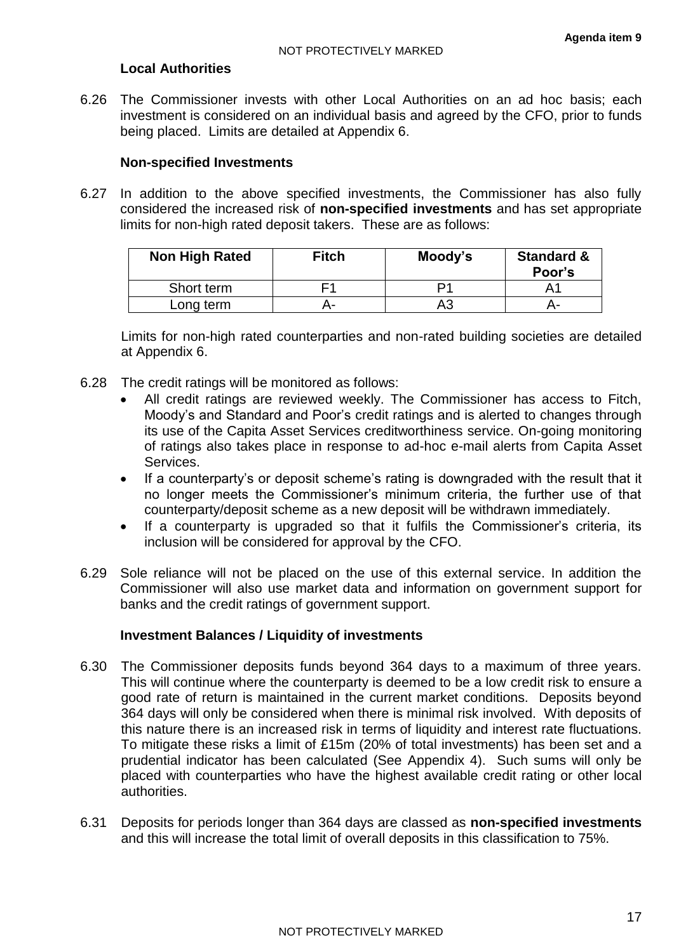## **Local Authorities**

6.26 The Commissioner invests with other Local Authorities on an ad hoc basis; each investment is considered on an individual basis and agreed by the CFO, prior to funds being placed. Limits are detailed at Appendix 6.

#### **Non-specified Investments**

6.27 In addition to the above specified investments, the Commissioner has also fully considered the increased risk of **non-specified investments** and has set appropriate limits for non-high rated deposit takers. These are as follows:

| Non High Rated | <b>Fitch</b> | Moody's | <b>Standard &amp;</b><br>Poor's |
|----------------|--------------|---------|---------------------------------|
| Short term     |              | D1      |                                 |
| Long term      |              | AЗ      | н-                              |

Limits for non-high rated counterparties and non-rated building societies are detailed at Appendix 6.

- 6.28 The credit ratings will be monitored as follows:
	- All credit ratings are reviewed weekly. The Commissioner has access to Fitch, Moody's and Standard and Poor's credit ratings and is alerted to changes through its use of the Capita Asset Services creditworthiness service. On-going monitoring of ratings also takes place in response to ad-hoc e-mail alerts from Capita Asset Services.
	- If a counterparty's or deposit scheme's rating is downgraded with the result that it no longer meets the Commissioner's minimum criteria, the further use of that counterparty/deposit scheme as a new deposit will be withdrawn immediately.
	- If a counterparty is upgraded so that it fulfils the Commissioner's criteria, its inclusion will be considered for approval by the CFO.
- 6.29 Sole reliance will not be placed on the use of this external service. In addition the Commissioner will also use market data and information on government support for banks and the credit ratings of government support.

#### **Investment Balances / Liquidity of investments**

- 6.30 The Commissioner deposits funds beyond 364 days to a maximum of three years. This will continue where the counterparty is deemed to be a low credit risk to ensure a good rate of return is maintained in the current market conditions. Deposits beyond 364 days will only be considered when there is minimal risk involved. With deposits of this nature there is an increased risk in terms of liquidity and interest rate fluctuations. To mitigate these risks a limit of £15m (20% of total investments) has been set and a prudential indicator has been calculated (See Appendix 4). Such sums will only be placed with counterparties who have the highest available credit rating or other local authorities.
- 6.31 Deposits for periods longer than 364 days are classed as **non-specified investments**  and this will increase the total limit of overall deposits in this classification to 75%.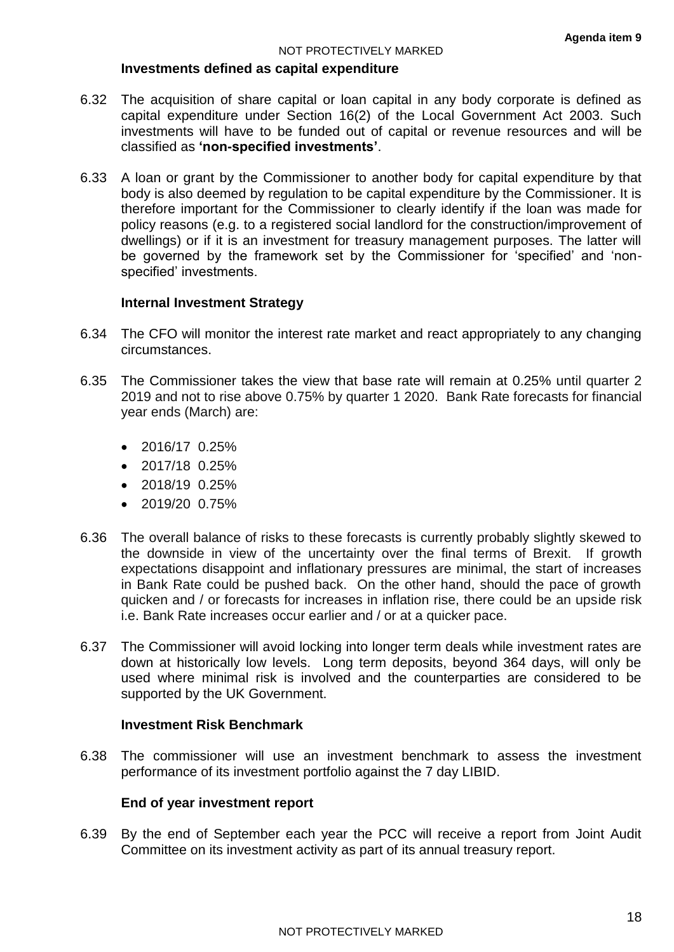#### **Investments defined as capital expenditure**

- 6.32 The acquisition of share capital or loan capital in any body corporate is defined as capital expenditure under Section 16(2) of the Local Government Act 2003. Such investments will have to be funded out of capital or revenue resources and will be classified as **'non-specified investments'**.
- 6.33 A loan or grant by the Commissioner to another body for capital expenditure by that body is also deemed by regulation to be capital expenditure by the Commissioner. It is therefore important for the Commissioner to clearly identify if the loan was made for policy reasons (e.g. to a registered social landlord for the construction/improvement of dwellings) or if it is an investment for treasury management purposes. The latter will be governed by the framework set by the Commissioner for 'specified' and 'nonspecified' investments.

#### **Internal Investment Strategy**

- 6.34 The CFO will monitor the interest rate market and react appropriately to any changing circumstances.
- 6.35 The Commissioner takes the view that base rate will remain at 0.25% until quarter 2 2019 and not to rise above 0.75% by quarter 1 2020. Bank Rate forecasts for financial year ends (March) are:
	- 2016/17 0.25%
	- 2017/18 0.25%
	- $\bullet$  2018/19 0.25%
	- $\bullet$  2019/20 0.75%
- 6.36 The overall balance of risks to these forecasts is currently probably slightly skewed to the downside in view of the uncertainty over the final terms of Brexit. If growth expectations disappoint and inflationary pressures are minimal, the start of increases in Bank Rate could be pushed back. On the other hand, should the pace of growth quicken and / or forecasts for increases in inflation rise, there could be an upside risk i.e. Bank Rate increases occur earlier and / or at a quicker pace.
- 6.37 The Commissioner will avoid locking into longer term deals while investment rates are down at historically low levels. Long term deposits, beyond 364 days, will only be used where minimal risk is involved and the counterparties are considered to be supported by the UK Government.

#### **Investment Risk Benchmark**

6.38 The commissioner will use an investment benchmark to assess the investment performance of its investment portfolio against the 7 day LIBID.

## **End of year investment report**

6.39 By the end of September each year the PCC will receive a report from Joint Audit Committee on its investment activity as part of its annual treasury report.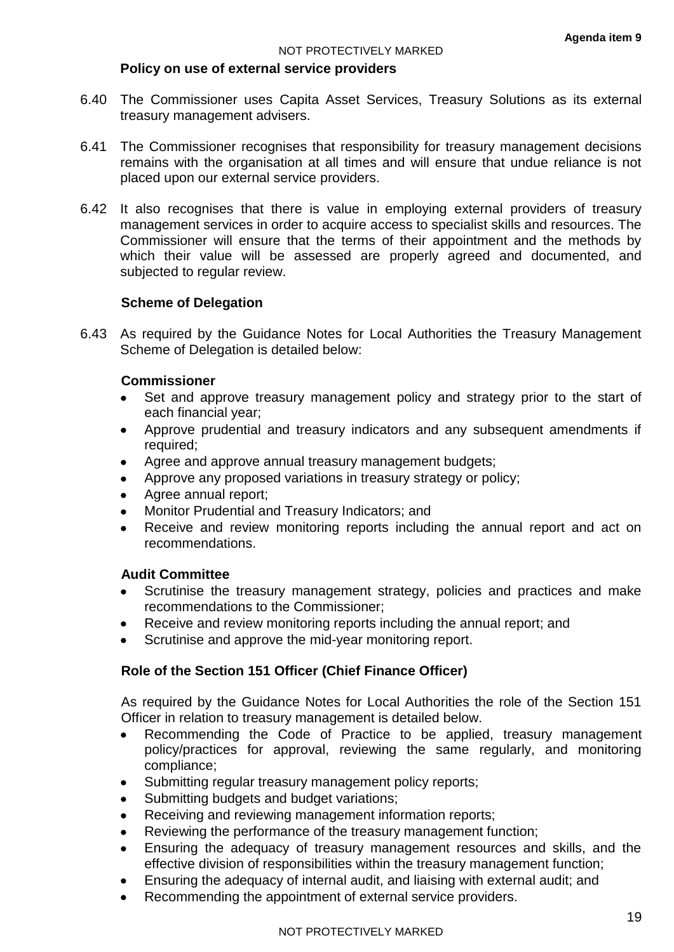#### **Policy on use of external service providers**

- 6.40 The Commissioner uses Capita Asset Services, Treasury Solutions as its external treasury management advisers.
- 6.41 The Commissioner recognises that responsibility for treasury management decisions remains with the organisation at all times and will ensure that undue reliance is not placed upon our external service providers.
- 6.42 It also recognises that there is value in employing external providers of treasury management services in order to acquire access to specialist skills and resources. The Commissioner will ensure that the terms of their appointment and the methods by which their value will be assessed are properly agreed and documented, and subjected to regular review.

#### **Scheme of Delegation**

6.43 As required by the Guidance Notes for Local Authorities the Treasury Management Scheme of Delegation is detailed below:

#### **Commissioner**

- Set and approve treasury management policy and strategy prior to the start of each financial year;
- Approve prudential and treasury indicators and any subsequent amendments if required;
- Agree and approve annual treasury management budgets;
- Approve any proposed variations in treasury strategy or policy;
- Agree annual report;
- Monitor Prudential and Treasury Indicators; and
- Receive and review monitoring reports including the annual report and act on recommendations.

#### **Audit Committee**

- Scrutinise the treasury management strategy, policies and practices and make recommendations to the Commissioner;
- Receive and review monitoring reports including the annual report; and
- Scrutinise and approve the mid-year monitoring report.

## **Role of the Section 151 Officer (Chief Finance Officer)**

As required by the Guidance Notes for Local Authorities the role of the Section 151 Officer in relation to treasury management is detailed below.

- Recommending the Code of Practice to be applied, treasury management policy/practices for approval, reviewing the same regularly, and monitoring compliance;
- Submitting regular treasury management policy reports;
- Submitting budgets and budget variations:
- Receiving and reviewing management information reports;
- Reviewing the performance of the treasury management function;
- Ensuring the adequacy of treasury management resources and skills, and the effective division of responsibilities within the treasury management function;
- Ensuring the adequacy of internal audit, and liaising with external audit; and
- Recommending the appointment of external service providers.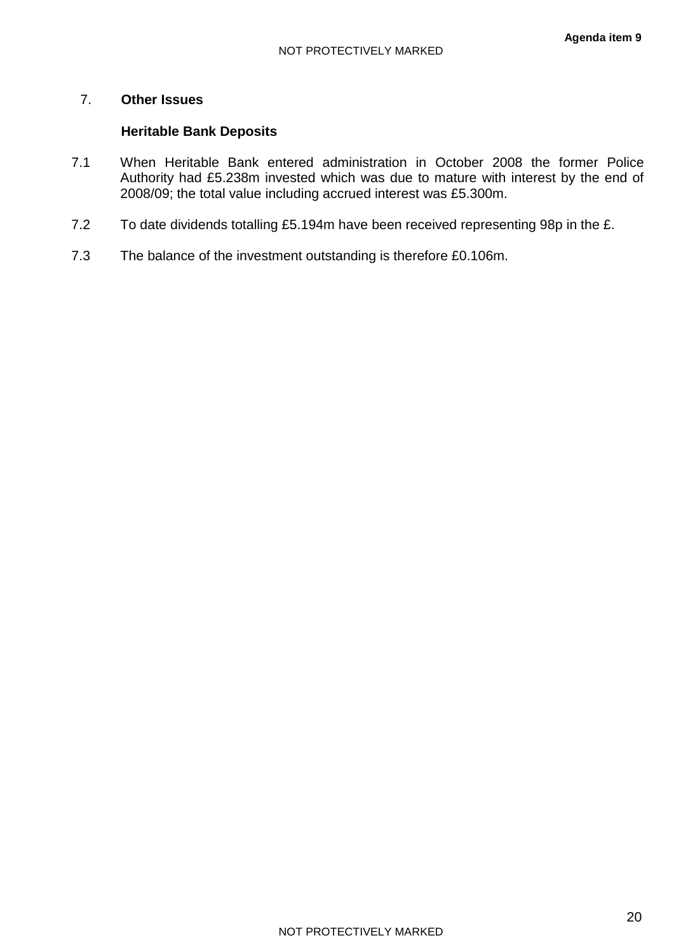## 7. **Other Issues**

## **Heritable Bank Deposits**

- 7.1 When Heritable Bank entered administration in October 2008 the former Police Authority had £5.238m invested which was due to mature with interest by the end of 2008/09; the total value including accrued interest was £5.300m.
- 7.2 To date dividends totalling £5.194m have been received representing 98p in the £.
- 7.3 The balance of the investment outstanding is therefore £0.106m.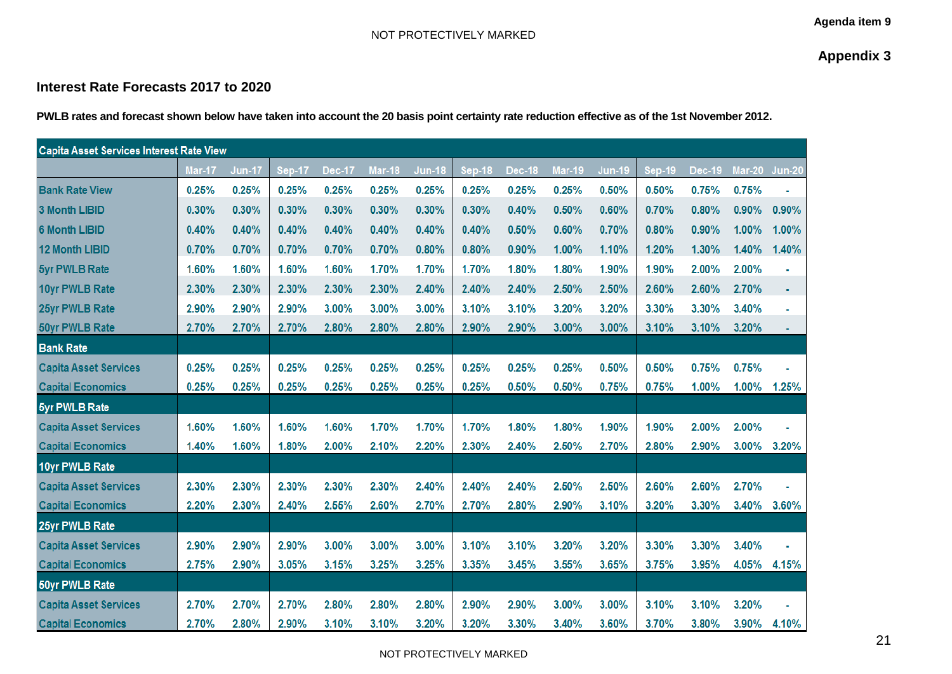**Appendix 3**

## **Interest Rate Forecasts 2017 to 2020**

**PWLB rates and forecast shown below have taken into account the 20 basis point certainty rate reduction effective as of the 1st November 2012.**

| <b>Capita Asset Services Interest Rate View</b> |        |               |               |               |               |               |               |               |        |               |               |        |          |          |
|-------------------------------------------------|--------|---------------|---------------|---------------|---------------|---------------|---------------|---------------|--------|---------------|---------------|--------|----------|----------|
|                                                 | Mar-17 | <b>Jun-17</b> | <b>Sep-17</b> | <b>Dec-17</b> | <b>Mar-18</b> | <b>Jun-18</b> | <b>Sep-18</b> | <b>Dec-18</b> | Mar-19 | <b>Jun-19</b> | <b>Sep-19</b> | Dec-19 | $Mar-20$ | $Jun-20$ |
| <b>Bank Rate View</b>                           | 0.25%  | 0.25%         | 0.25%         | 0.25%         | 0.25%         | 0.25%         | 0.25%         | 0.25%         | 0.25%  | 0.50%         | 0.50%         | 0.75%  | 0.75%    |          |
| <b>3 Month LIBID</b>                            | 0.30%  | 0.30%         | 0.30%         | 0.30%         | 0.30%         | 0.30%         | 0.30%         | 0.40%         | 0.50%  | 0.60%         | 0.70%         | 0.80%  | 0.90%    | 0.90%    |
| <b>6 Month LIBID</b>                            | 0.40%  | 0.40%         | 0.40%         | 0.40%         | 0.40%         | 0.40%         | 0.40%         | 0.50%         | 0.60%  | 0.70%         | 0.80%         | 0.90%  | 1.00%    | 1.00%    |
| <b>12 Month LIBID</b>                           | 0.70%  | 0.70%         | 0.70%         | 0.70%         | 0.70%         | 0.80%         | 0.80%         | 0.90%         | 1.00%  | 1.10%         | 1.20%         | 1.30%  | 1.40%    | 1.40%    |
| <b>5yr PWLB Rate</b>                            | 1.60%  | 1.60%         | 1.60%         | 1.60%         | 1.70%         | 1.70%         | 1.70%         | 1.80%         | 1.80%  | 1.90%         | 1.90%         | 2.00%  | 2.00%    |          |
| 10yr PWLB Rate                                  | 2.30%  | 2.30%         | 2.30%         | 2.30%         | 2.30%         | 2.40%         | 2.40%         | 2.40%         | 2.50%  | 2.50%         | 2.60%         | 2.60%  | 2.70%    | ٠        |
| 25yr PWLB Rate                                  | 2.90%  | 2.90%         | 2.90%         | 3.00%         | 3.00%         | 3.00%         | 3.10%         | 3.10%         | 3.20%  | 3.20%         | 3.30%         | 3.30%  | 3.40%    |          |
| <b>50yr PWLB Rate</b>                           | 2.70%  | 2.70%         | 2.70%         | 2.80%         | 2.80%         | 2.80%         | 2.90%         | 2.90%         | 3.00%  | 3.00%         | 3.10%         | 3.10%  | 3.20%    |          |
| <b>Bank Rate</b>                                |        |               |               |               |               |               |               |               |        |               |               |        |          |          |
| <b>Capita Asset Services</b>                    | 0.25%  | 0.25%         | 0.25%         | 0.25%         | 0.25%         | 0.25%         | 0.25%         | 0.25%         | 0.25%  | 0.50%         | 0.50%         | 0.75%  | 0.75%    |          |
| <b>Capital Economics</b>                        | 0.25%  | 0.25%         | 0.25%         | 0.25%         | 0.25%         | 0.25%         | 0.25%         | 0.50%         | 0.50%  | 0.75%         | 0.75%         | 1.00%  | 1.00%    | 1.25%    |
| <b>5yr PWLB Rate</b>                            |        |               |               |               |               |               |               |               |        |               |               |        |          |          |
| <b>Capita Asset Services</b>                    | 1.60%  | 1.60%         | 1.60%         | 1.60%         | 1.70%         | 1.70%         | 1.70%         | 1.80%         | 1.80%  | 1.90%         | 1.90%         | 2.00%  | 2.00%    |          |
| <b>Capital Economics</b>                        | 1.40%  | 1.60%         | 1.80%         | 2.00%         | 2.10%         | 2.20%         | 2.30%         | 2.40%         | 2.50%  | 2.70%         | 2.80%         | 2.90%  | 3.00%    | 3.20%    |
| 10yr PWLB Rate                                  |        |               |               |               |               |               |               |               |        |               |               |        |          |          |
| <b>Capita Asset Services</b>                    | 2.30%  | 2.30%         | 2.30%         | 2.30%         | 2.30%         | 2.40%         | 2.40%         | 2.40%         | 2.50%  | 2.50%         | 2.60%         | 2.60%  | 2.70%    |          |
| <b>Capital Economics</b>                        | 2.20%  | 2.30%         | 2.40%         | 2.55%         | 2.60%         | 2.70%         | 2.70%         | 2.80%         | 2.90%  | 3.10%         | 3.20%         | 3.30%  | 3.40%    | 3.60%    |
| 25yr PWLB Rate                                  |        |               |               |               |               |               |               |               |        |               |               |        |          |          |
| <b>Capita Asset Services</b>                    | 2.90%  | 2.90%         | 2.90%         | 3.00%         | 3.00%         | 3.00%         | 3.10%         | 3.10%         | 3.20%  | 3.20%         | 3.30%         | 3.30%  | 3.40%    |          |
| <b>Capital Economics</b>                        | 2.75%  | 2.90%         | 3.05%         | 3.15%         | 3.25%         | 3.25%         | 3.35%         | 3.45%         | 3.55%  | 3.65%         | 3.75%         | 3.95%  | 4.05%    | 4.15%    |
| <b>50yr PWLB Rate</b>                           |        |               |               |               |               |               |               |               |        |               |               |        |          |          |
| <b>Capita Asset Services</b>                    | 2.70%  | 2.70%         | 2.70%         | 2.80%         | 2.80%         | 2.80%         | 2.90%         | 2.90%         | 3.00%  | 3.00%         | 3.10%         | 3.10%  | 3.20%    |          |
| <b>Capital Economics</b>                        | 2.70%  | 2.80%         | 2.90%         | 3.10%         | 3.10%         | 3.20%         | 3.20%         | 3.30%         | 3.40%  | 3.60%         | 3.70%         | 3.80%  | 3.90%    | 4.10%    |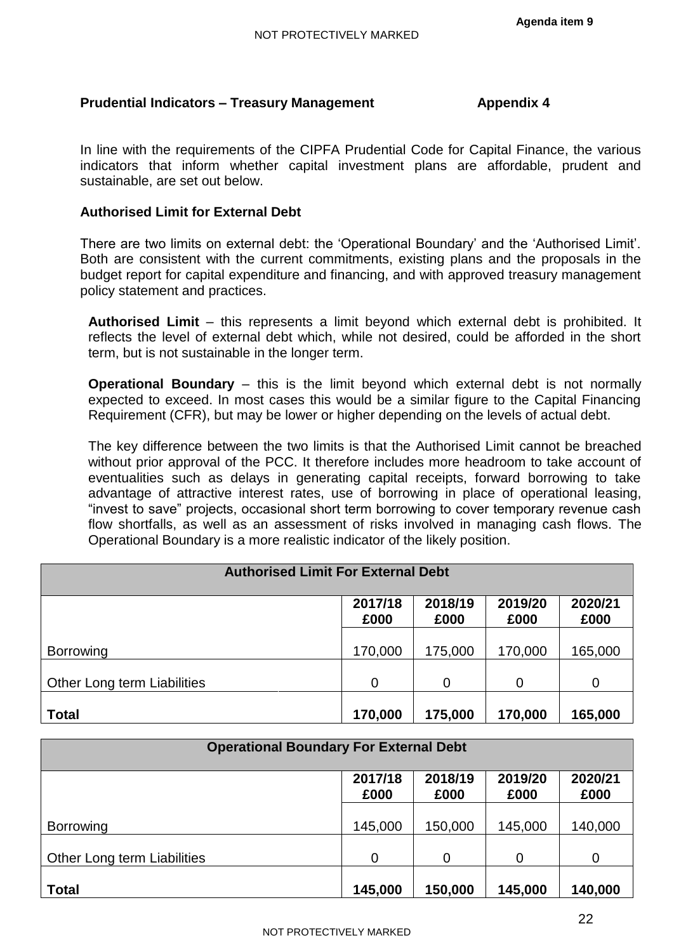## **Prudential Indicators – Treasury Management Appendix 4**

In line with the requirements of the CIPFA Prudential Code for Capital Finance, the various indicators that inform whether capital investment plans are affordable, prudent and sustainable, are set out below.

## **Authorised Limit for External Debt**

There are two limits on external debt: the 'Operational Boundary' and the 'Authorised Limit'. Both are consistent with the current commitments, existing plans and the proposals in the budget report for capital expenditure and financing, and with approved treasury management policy statement and practices.

**Authorised Limit** – this represents a limit beyond which external debt is prohibited. It reflects the level of external debt which, while not desired, could be afforded in the short term, but is not sustainable in the longer term.

**Operational Boundary** – this is the limit beyond which external debt is not normally expected to exceed. In most cases this would be a similar figure to the Capital Financing Requirement (CFR), but may be lower or higher depending on the levels of actual debt.

The key difference between the two limits is that the Authorised Limit cannot be breached without prior approval of the PCC. It therefore includes more headroom to take account of eventualities such as delays in generating capital receipts, forward borrowing to take advantage of attractive interest rates, use of borrowing in place of operational leasing, "invest to save" projects, occasional short term borrowing to cover temporary revenue cash flow shortfalls, as well as an assessment of risks involved in managing cash flows. The Operational Boundary is a more realistic indicator of the likely position.

| <b>Authorised Limit For External Debt</b> |                 |                 |                 |                 |  |  |
|-------------------------------------------|-----------------|-----------------|-----------------|-----------------|--|--|
|                                           | 2017/18<br>£000 | 2018/19<br>£000 | 2019/20<br>£000 | 2020/21<br>£000 |  |  |
| <b>Borrowing</b>                          | 170,000         | 175,000         | 170,000         | 165,000         |  |  |
| Other Long term Liabilities               | $\mathbf 0$     | 0               | $\mathbf 0$     | $\overline{0}$  |  |  |
| <b>Total</b>                              | 170,000         | 175,000         | 170,000         | 165,000         |  |  |

| <b>Operational Boundary For External Debt</b> |                 |                 |                 |                 |  |  |
|-----------------------------------------------|-----------------|-----------------|-----------------|-----------------|--|--|
|                                               | 2017/18<br>£000 | 2018/19<br>£000 | 2019/20<br>£000 | 2020/21<br>£000 |  |  |
| <b>Borrowing</b>                              | 145,000         | 150,000         | 145,000         | 140,000         |  |  |
| Other Long term Liabilities                   | $\overline{0}$  | 0               | 0               | $\mathbf 0$     |  |  |
| <b>Total</b>                                  | 145,000         | 150,000         | 145,000         | 140,000         |  |  |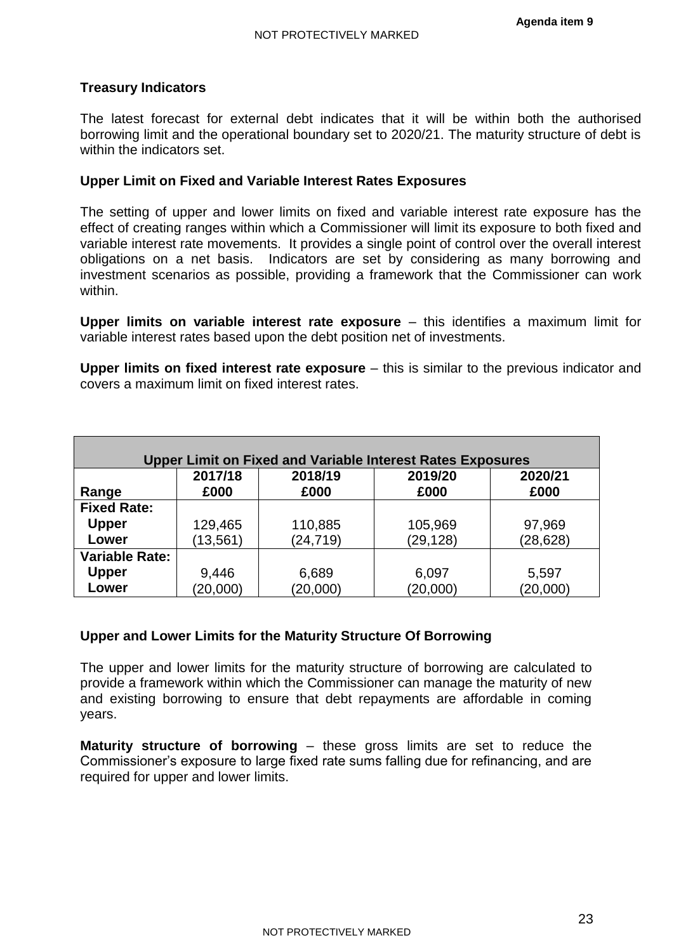## **Treasury Indicators**

The latest forecast for external debt indicates that it will be within both the authorised borrowing limit and the operational boundary set to 2020/21. The maturity structure of debt is within the indicators set.

## **Upper Limit on Fixed and Variable Interest Rates Exposures**

The setting of upper and lower limits on fixed and variable interest rate exposure has the effect of creating ranges within which a Commissioner will limit its exposure to both fixed and variable interest rate movements. It provides a single point of control over the overall interest obligations on a net basis. Indicators are set by considering as many borrowing and investment scenarios as possible, providing a framework that the Commissioner can work within.

**Upper limits on variable interest rate exposure** – this identifies a maximum limit for variable interest rates based upon the debt position net of investments.

**Upper limits on fixed interest rate exposure** – this is similar to the previous indicator and covers a maximum limit on fixed interest rates.

| <b>Upper Limit on Fixed and Variable Interest Rates Exposures</b> |           |           |           |           |  |  |  |
|-------------------------------------------------------------------|-----------|-----------|-----------|-----------|--|--|--|
|                                                                   | 2017/18   | 2018/19   | 2019/20   | 2020/21   |  |  |  |
| Range                                                             | £000      | £000      | £000      | £000      |  |  |  |
| <b>Fixed Rate:</b>                                                |           |           |           |           |  |  |  |
| <b>Upper</b>                                                      | 129,465   | 110,885   | 105,969   | 97,969    |  |  |  |
| Lower                                                             | (13, 561) | (24, 719) | (29, 128) | (28, 628) |  |  |  |
| <b>Variable Rate:</b>                                             |           |           |           |           |  |  |  |
| <b>Upper</b>                                                      | 9,446     | 6,689     | 6,097     | 5,597     |  |  |  |
| Lower                                                             | (20,000)  | (20,000)  | (20,000)  | (20,000)  |  |  |  |

## **Upper and Lower Limits for the Maturity Structure Of Borrowing**

The upper and lower limits for the maturity structure of borrowing are calculated to provide a framework within which the Commissioner can manage the maturity of new and existing borrowing to ensure that debt repayments are affordable in coming years.

**Maturity structure of borrowing** – these gross limits are set to reduce the Commissioner's exposure to large fixed rate sums falling due for refinancing, and are required for upper and lower limits.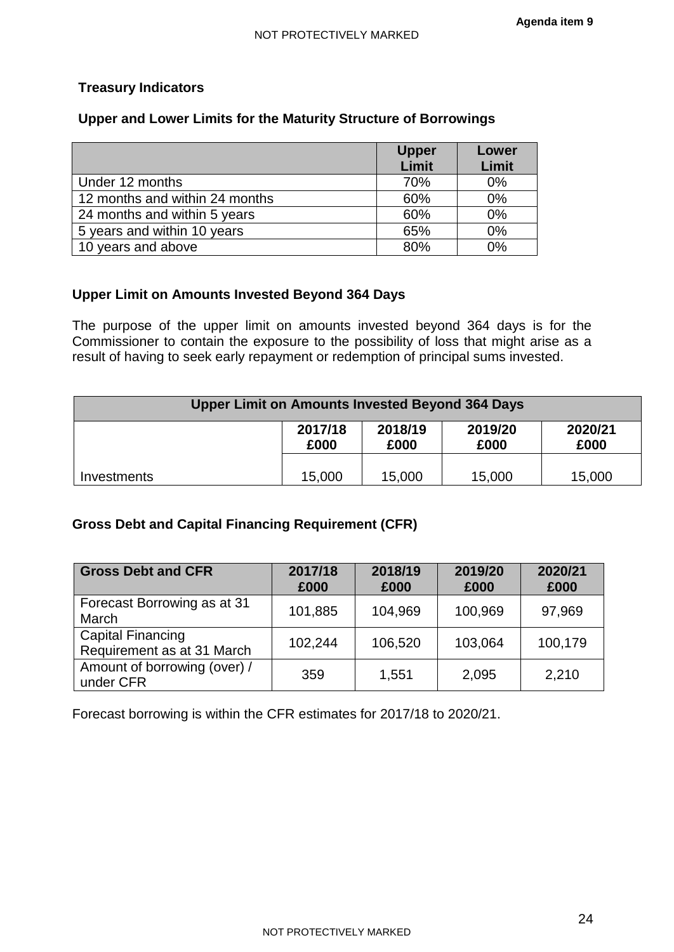## **Treasury Indicators**

## **Upper and Lower Limits for the Maturity Structure of Borrowings**

|                                | <b>Upper</b> | Lower |
|--------------------------------|--------------|-------|
|                                | Limit        | Limit |
| Under 12 months                | 70%          | 0%    |
| 12 months and within 24 months | 60%          | 0%    |
| 24 months and within 5 years   | 60%          | 0%    |
| 5 years and within 10 years    | 65%          | 0%    |
| 10 years and above             | 80%          | $0\%$ |

## **Upper Limit on Amounts Invested Beyond 364 Days**

The purpose of the upper limit on amounts invested beyond 364 days is for the Commissioner to contain the exposure to the possibility of loss that might arise as a result of having to seek early repayment or redemption of principal sums invested.

| <b>Upper Limit on Amounts Invested Beyond 364 Days</b> |                 |                 |                 |                 |  |  |
|--------------------------------------------------------|-----------------|-----------------|-----------------|-----------------|--|--|
|                                                        | 2017/18<br>£000 | 2018/19<br>£000 | 2019/20<br>£000 | 2020/21<br>£000 |  |  |
| Investments                                            | 15,000          | 15,000          | 15,000          | 15,000          |  |  |

## **Gross Debt and Capital Financing Requirement (CFR)**

| <b>Gross Debt and CFR</b>                              | 2017/18<br>£000 | 2018/19<br>£000 | 2019/20<br>£000 | 2020/21<br>£000 |
|--------------------------------------------------------|-----------------|-----------------|-----------------|-----------------|
| Forecast Borrowing as at 31<br>March                   | 101,885         | 104,969         | 100,969         | 97,969          |
| <b>Capital Financing</b><br>Requirement as at 31 March | 102,244         | 106,520         | 103,064         | 100,179         |
| Amount of borrowing (over) /<br>under CFR              | 359             | 1,551           | 2,095           | 2,210           |

Forecast borrowing is within the CFR estimates for 2017/18 to 2020/21.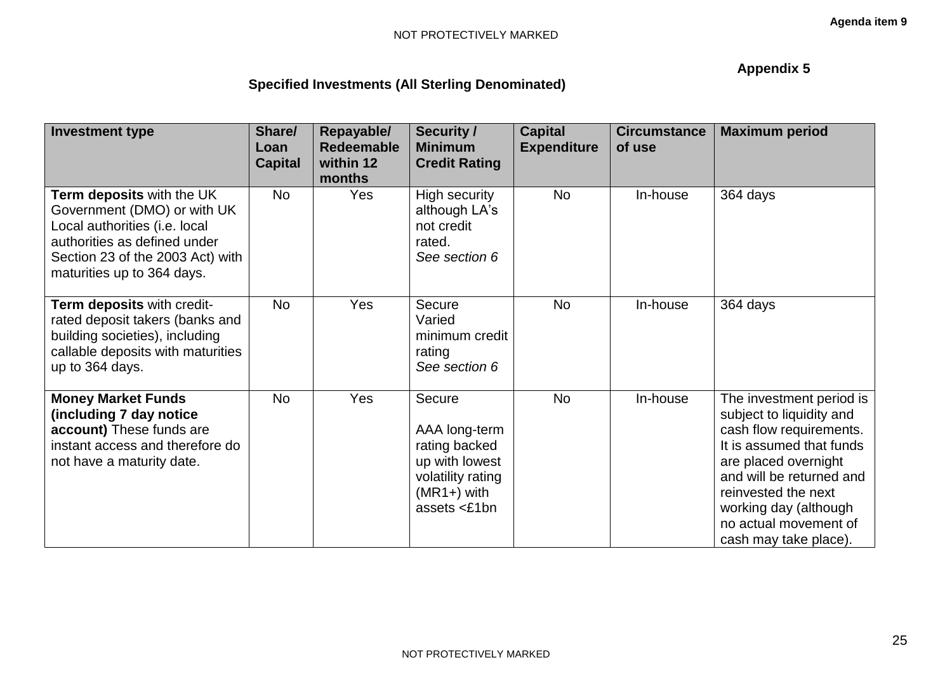# **Appendix 5**

| Specified Investments (All Sterling Denominated) |  |  |  |
|--------------------------------------------------|--|--|--|
|--------------------------------------------------|--|--|--|

| <b>Investment type</b>                                                                                                                                                                      | Share/<br>Loan<br><b>Capital</b> | Repayable/<br><b>Redeemable</b><br>within 12<br>months | <b>Security /</b><br><b>Minimum</b><br><b>Credit Rating</b>                                                         | <b>Capital</b><br><b>Expenditure</b> | <b>Circumstance</b><br>of use | <b>Maximum period</b>                                                                                                                                                                                                                                             |
|---------------------------------------------------------------------------------------------------------------------------------------------------------------------------------------------|----------------------------------|--------------------------------------------------------|---------------------------------------------------------------------------------------------------------------------|--------------------------------------|-------------------------------|-------------------------------------------------------------------------------------------------------------------------------------------------------------------------------------------------------------------------------------------------------------------|
| Term deposits with the UK<br>Government (DMO) or with UK<br>Local authorities (i.e. local<br>authorities as defined under<br>Section 23 of the 2003 Act) with<br>maturities up to 364 days. | <b>No</b>                        | Yes                                                    | High security<br>although LA's<br>not credit<br>rated.<br>See section 6                                             | No                                   | In-house                      | 364 days                                                                                                                                                                                                                                                          |
| Term deposits with credit-<br>rated deposit takers (banks and<br>building societies), including<br>callable deposits with maturities<br>up to 364 days.                                     | <b>No</b>                        | Yes                                                    | Secure<br>Varied<br>minimum credit<br>rating<br>See section 6                                                       | <b>No</b>                            | In-house                      | 364 days                                                                                                                                                                                                                                                          |
| <b>Money Market Funds</b><br>(including 7 day notice<br>account) These funds are<br>instant access and therefore do<br>not have a maturity date.                                            | <b>No</b>                        | Yes                                                    | Secure<br>AAA long-term<br>rating backed<br>up with lowest<br>volatility rating<br>$(MR1+)$ with<br>assets $<$ £1bn | <b>No</b>                            | In-house                      | The investment period is<br>subject to liquidity and<br>cash flow requirements.<br>It is assumed that funds<br>are placed overnight<br>and will be returned and<br>reinvested the next<br>working day (although<br>no actual movement of<br>cash may take place). |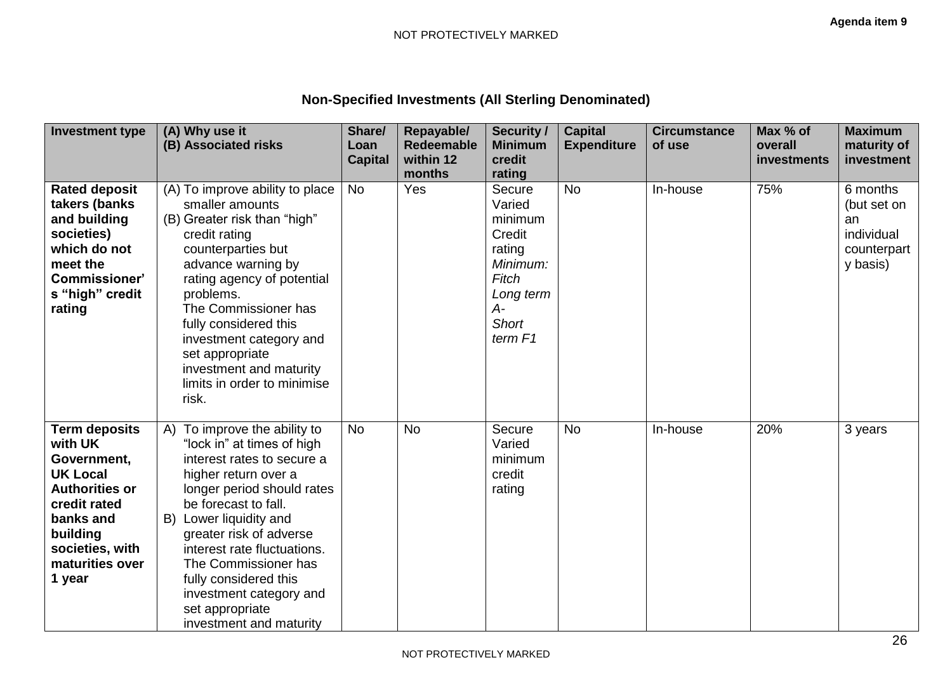# **Non-Specified Investments (All Sterling Denominated)**

| <b>Investment type</b>                                                                                                                                                              | (A) Why use it                                                                                                                                                                                                                                                                                                                                                                       | Share/         | Repayable/          | <b>Security /</b>                                                                                                    | <b>Capital</b>     | <b>Circumstance</b> | Max % of    | <b>Maximum</b>                                                         |
|-------------------------------------------------------------------------------------------------------------------------------------------------------------------------------------|--------------------------------------------------------------------------------------------------------------------------------------------------------------------------------------------------------------------------------------------------------------------------------------------------------------------------------------------------------------------------------------|----------------|---------------------|----------------------------------------------------------------------------------------------------------------------|--------------------|---------------------|-------------|------------------------------------------------------------------------|
|                                                                                                                                                                                     | (B) Associated risks                                                                                                                                                                                                                                                                                                                                                                 | Loan           | <b>Redeemable</b>   | <b>Minimum</b>                                                                                                       | <b>Expenditure</b> | of use              | overall     | maturity of                                                            |
|                                                                                                                                                                                     |                                                                                                                                                                                                                                                                                                                                                                                      | <b>Capital</b> | within 12<br>months | credit<br>rating                                                                                                     |                    |                     | investments | investment                                                             |
| <b>Rated deposit</b><br>takers (banks<br>and building<br>societies)<br>which do not<br>meet the<br><b>Commissioner'</b><br>s "high" credit<br>rating                                | (A) To improve ability to place<br>smaller amounts<br>(B) Greater risk than "high"<br>credit rating<br>counterparties but<br>advance warning by<br>rating agency of potential<br>problems.<br>The Commissioner has<br>fully considered this<br>investment category and<br>set appropriate<br>investment and maturity<br>limits in order to minimise<br>risk.                         | <b>No</b>      | Yes                 | Secure<br>Varied<br>minimum<br>Credit<br>rating<br>Minimum:<br>Fitch<br>Long term<br>А-<br><b>Short</b><br>term $F1$ | <b>No</b>          | In-house            | 75%         | 6 months<br>(but set on<br>an<br>individual<br>counterpart<br>y basis) |
| <b>Term deposits</b><br>with UK<br>Government,<br><b>UK Local</b><br><b>Authorities or</b><br>credit rated<br>banks and<br>building<br>societies, with<br>maturities over<br>1 year | A) To improve the ability to<br>"lock in" at times of high<br>interest rates to secure a<br>higher return over a<br>longer period should rates<br>be forecast to fall.<br>B) Lower liquidity and<br>greater risk of adverse<br>interest rate fluctuations.<br>The Commissioner has<br>fully considered this<br>investment category and<br>set appropriate<br>investment and maturity | <b>No</b>      | <b>No</b>           | Secure<br>Varied<br>minimum<br>credit<br>rating                                                                      | <b>No</b>          | In-house            | 20%         | 3 years                                                                |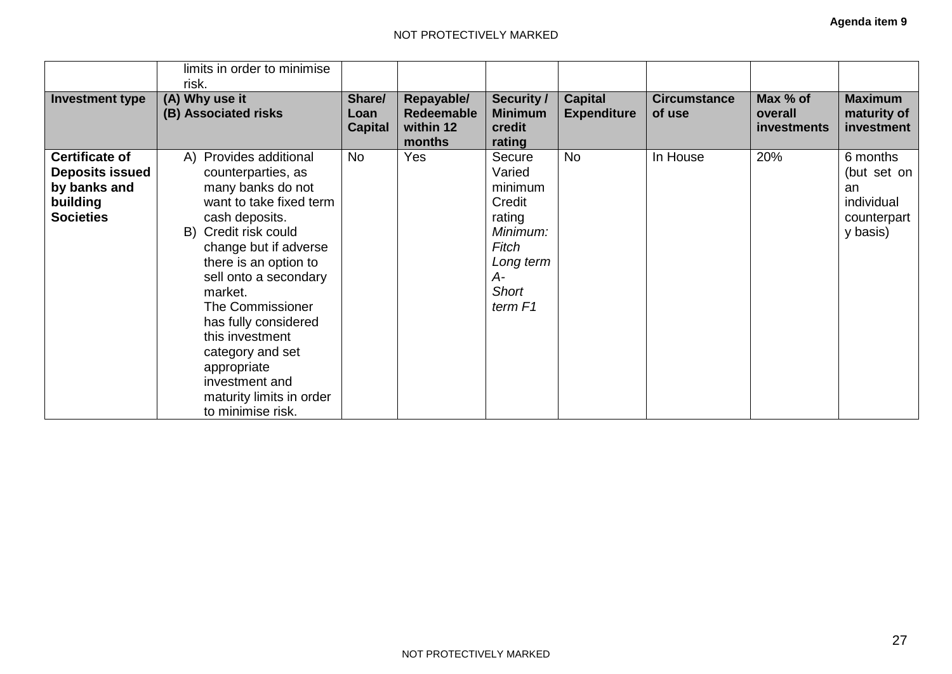|                                                                                                 | limits in order to minimise<br>risk.                                                                                                                                                                                                                                                                                                                                                              |                                  |                                                        |                                                                                                                    |                                      |                               |                                    |                                                                        |
|-------------------------------------------------------------------------------------------------|---------------------------------------------------------------------------------------------------------------------------------------------------------------------------------------------------------------------------------------------------------------------------------------------------------------------------------------------------------------------------------------------------|----------------------------------|--------------------------------------------------------|--------------------------------------------------------------------------------------------------------------------|--------------------------------------|-------------------------------|------------------------------------|------------------------------------------------------------------------|
| <b>Investment type</b>                                                                          | (A) Why use it<br>(B) Associated risks                                                                                                                                                                                                                                                                                                                                                            | Share/<br>Loan<br><b>Capital</b> | Repayable/<br><b>Redeemable</b><br>within 12<br>months | <b>Security /</b><br><b>Minimum</b><br>credit<br>rating                                                            | <b>Capital</b><br><b>Expenditure</b> | <b>Circumstance</b><br>of use | Max % of<br>overall<br>investments | <b>Maximum</b><br>maturity of<br>investment                            |
| <b>Certificate of</b><br><b>Deposits issued</b><br>by banks and<br>building<br><b>Societies</b> | A) Provides additional<br>counterparties, as<br>many banks do not<br>want to take fixed term<br>cash deposits.<br>B) Credit risk could<br>change but if adverse<br>there is an option to<br>sell onto a secondary<br>market.<br>The Commissioner<br>has fully considered<br>this investment<br>category and set<br>appropriate<br>investment and<br>maturity limits in order<br>to minimise risk. | <b>No</b>                        | Yes                                                    | Secure<br>Varied<br>minimum<br>Credit<br>rating<br>Minimum:<br>Fitch<br>Long term<br>A-<br><b>Short</b><br>term F1 | <b>No</b>                            | In House                      | 20%                                | 6 months<br>(but set on<br>an<br>individual<br>counterpart<br>y basis) |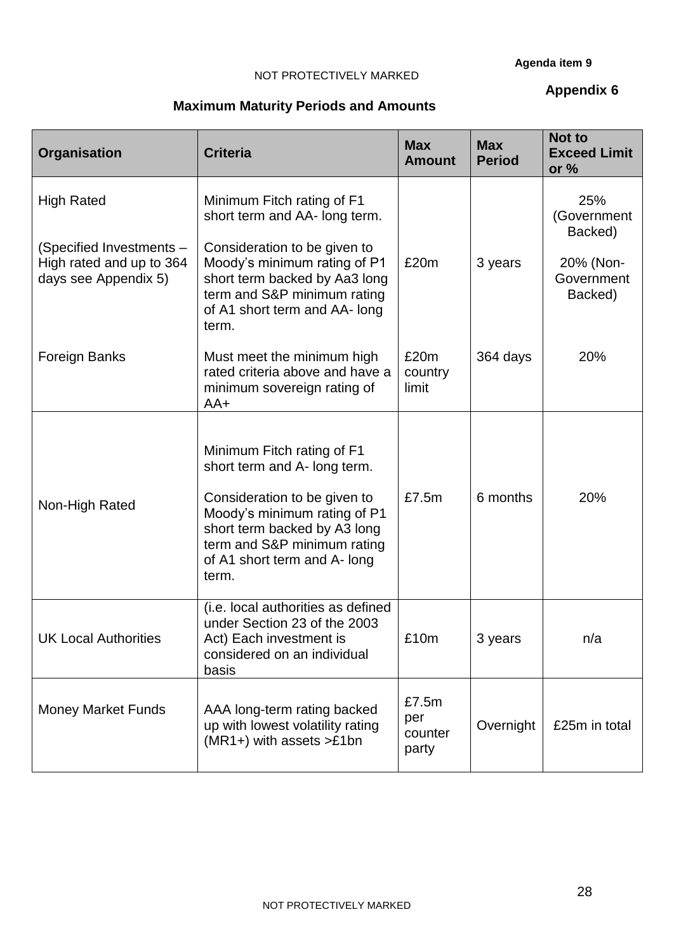#### **Agenda item 9**

#### NOT PROTECTIVELY MARKED

## **Appendix 6**

# **Maximum Maturity Periods and Amounts**

| <b>Organisation</b>                                                          | <b>Criteria</b>                                                                                                                                                                                                                    | <b>Max</b><br><b>Amount</b> | <b>Max</b><br><b>Period</b> | <b>Not to</b><br><b>Exceed Limit</b><br>or $%$ |
|------------------------------------------------------------------------------|------------------------------------------------------------------------------------------------------------------------------------------------------------------------------------------------------------------------------------|-----------------------------|-----------------------------|------------------------------------------------|
| <b>High Rated</b>                                                            | Minimum Fitch rating of F1<br>short term and AA- long term.                                                                                                                                                                        |                             |                             | 25%<br>(Government<br>Backed)                  |
| (Specified Investments -<br>High rated and up to 364<br>days see Appendix 5) | Consideration to be given to<br>Moody's minimum rating of P1<br>short term backed by Aa3 long<br>term and S&P minimum rating<br>of A1 short term and AA- long<br>term.                                                             | £20m                        | 3 years                     | 20% (Non-<br>Government<br>Backed)             |
| Foreign Banks                                                                | Must meet the minimum high<br>rated criteria above and have a<br>minimum sovereign rating of<br>AA+                                                                                                                                | £20m<br>country<br>limit    | 364 days                    | 20%                                            |
| Non-High Rated                                                               | Minimum Fitch rating of F1<br>short term and A- long term.<br>Consideration to be given to<br>Moody's minimum rating of P1<br>short term backed by A3 long<br>term and S&P minimum rating<br>of A1 short term and A- long<br>term. | £7.5m                       | 6 months                    | 20%                                            |
| <b>UK Local Authorities</b>                                                  | (i.e. local authorities as defined<br>under Section 23 of the 2003<br>Act) Each investment is<br>considered on an individual<br>basis                                                                                              | £10m                        | 3 years                     | n/a                                            |
| <b>Money Market Funds</b>                                                    | AAA long-term rating backed<br>up with lowest volatility rating                                                                                                                                                                    | £7.5m<br>per<br>counter     | Overnight                   | £25m in total                                  |

party

 $(MR1+)$  with assets >£1bn